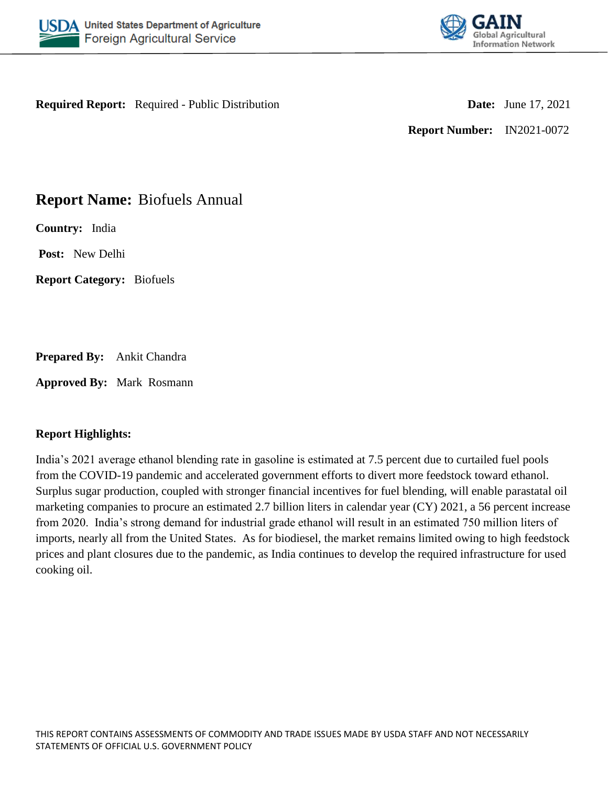



**Required Report:** Required - Public Distribution **Date:** June 17, 2021

**Report Number:** IN2021-0072

# **Report Name:** Biofuels Annual

**Country:** India

**Post:** New Delhi

**Report Category:** Biofuels

**Prepared By:** Ankit Chandra

**Approved By:** Mark Rosmann

# **Report Highlights:**

India's 2021 average ethanol blending rate in gasoline is estimated at 7.5 percent due to curtailed fuel pools from the COVID-19 pandemic and accelerated government efforts to divert more feedstock toward ethanol. Surplus sugar production, coupled with stronger financial incentives for fuel blending, will enable parastatal oil marketing companies to procure an estimated 2.7 billion liters in calendar year (CY) 2021, a 56 percent increase from 2020. India's strong demand for industrial grade ethanol will result in an estimated 750 million liters of imports, nearly all from the United States. As for biodiesel, the market remains limited owing to high feedstock prices and plant closures due to the pandemic, as India continues to develop the required infrastructure for used cooking oil.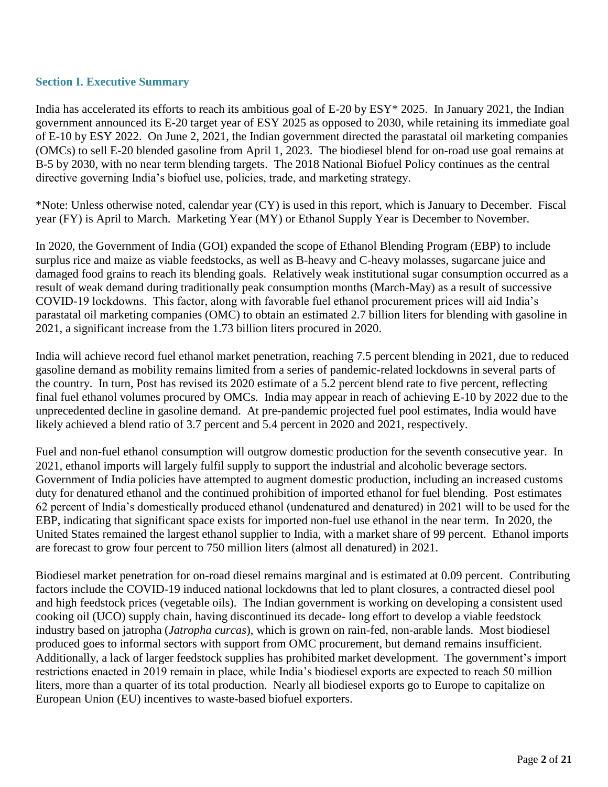# **Section I. Executive Summary**

India has accelerated its efforts to reach its ambitious goal of E-20 by ESY\* 2025. In January 2021, the Indian government announced its E-20 target year of ESY 2025 as opposed to 2030, while retaining its immediate goal of E-10 by ESY 2022. On June 2, 2021, the Indian government directed the parastatal oil marketing companies (OMCs) to sell E-20 blended gasoline from April 1, 2023. The biodiesel blend for on-road use goal remains at B-5 by 2030, with no near term blending targets. The 2018 National Biofuel Policy continues as the central directive governing India's biofuel use, policies, trade, and marketing strategy.

\*Note: Unless otherwise noted, calendar year (CY) is used in this report, which is January to December. Fiscal year (FY) is April to March. Marketing Year (MY) or Ethanol Supply Year is December to November.

In 2020, the Government of India (GOI) expanded the scope of Ethanol Blending Program (EBP) to include surplus rice and maize as viable feedstocks, as well as B-heavy and C-heavy molasses, sugarcane juice and damaged food grains to reach its blending goals. Relatively weak institutional sugar consumption occurred as a result of weak demand during traditionally peak consumption months (March-May) as a result of successive COVID-19 lockdowns. This factor, along with favorable fuel ethanol procurement prices will aid India's parastatal oil marketing companies (OMC) to obtain an estimated 2.7 billion liters for blending with gasoline in 2021, a significant increase from the 1.73 billion liters procured in 2020.

India will achieve record fuel ethanol market penetration, reaching 7.5 percent blending in 2021, due to reduced gasoline demand as mobility remains limited from a series of pandemic-related lockdowns in several parts of the country. In turn, Post has revised its 2020 estimate of a 5.2 percent blend rate to five percent, reflecting final fuel ethanol volumes procured by OMCs. India may appear in reach of achieving E-10 by 2022 due to the unprecedented decline in gasoline demand. At pre-pandemic projected fuel pool estimates, India would have likely achieved a blend ratio of 3.7 percent and 5.4 percent in 2020 and 2021, respectively.

Fuel and non-fuel ethanol consumption will outgrow domestic production for the seventh consecutive year. In 2021, ethanol imports will largely fulfil supply to support the industrial and alcoholic beverage sectors. Government of India policies have attempted to augment domestic production, including an increased customs duty for denatured ethanol and the continued prohibition of imported ethanol for fuel blending. Post estimates 62 percent of India's domestically produced ethanol (undenatured and denatured) in 2021 will to be used for the EBP, indicating that significant space exists for imported non-fuel use ethanol in the near term. In 2020, the United States remained the largest ethanol supplier to India, with a market share of 99 percent. Ethanol imports are forecast to grow four percent to 750 million liters (almost all denatured) in 2021.

Biodiesel market penetration for on-road diesel remains marginal and is estimated at 0.09 percent. Contributing factors include the COVID-19 induced national lockdowns that led to plant closures, a contracted diesel pool and high feedstock prices (vegetable oils). The Indian government is working on developing a consistent used cooking oil (UCO) supply chain, having discontinued its decade- long effort to develop a viable feedstock industry based on jatropha (*Jatropha curcas*), which is grown on rain-fed, non-arable lands. Most biodiesel produced goes to informal sectors with support from OMC procurement, but demand remains insufficient. Additionally, a lack of larger feedstock supplies has prohibited market development. The government's import restrictions enacted in 2019 remain in place, while India's biodiesel exports are expected to reach 50 million liters, more than a quarter of its total production. Nearly all biodiesel exports go to Europe to capitalize on European Union (EU) incentives to waste-based biofuel exporters.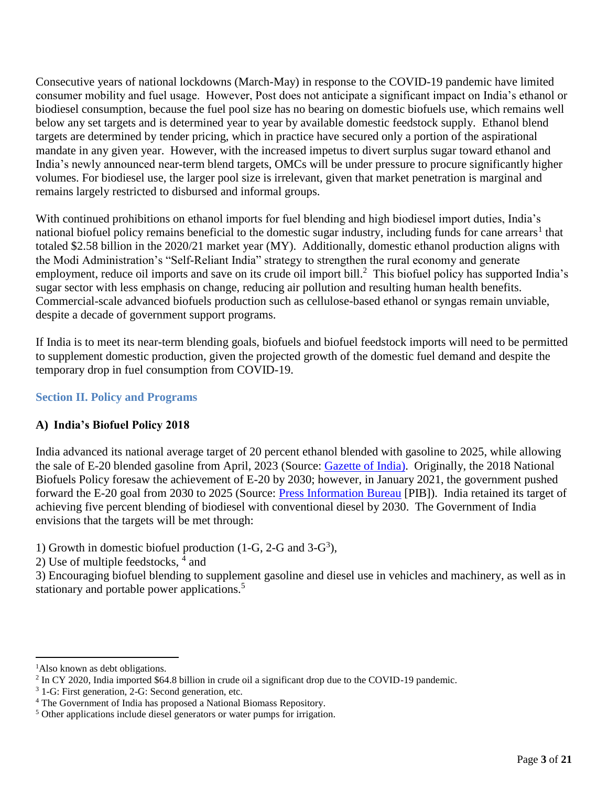Consecutive years of national lockdowns (March-May) in response to the COVID-19 pandemic have limited consumer mobility and fuel usage. However, Post does not anticipate a significant impact on India's ethanol or biodiesel consumption, because the fuel pool size has no bearing on domestic biofuels use, which remains well below any set targets and is determined year to year by available domestic feedstock supply. Ethanol blend targets are determined by tender pricing, which in practice have secured only a portion of the aspirational mandate in any given year. However, with the increased impetus to divert surplus sugar toward ethanol and India's newly announced near-term blend targets, OMCs will be under pressure to procure significantly higher volumes. For biodiesel use, the larger pool size is irrelevant, given that market penetration is marginal and remains largely restricted to disbursed and informal groups.

With continued prohibitions on ethanol imports for fuel blending and high biodiesel import duties, India's national biofuel policy remains beneficial to the domestic sugar industry, including funds for cane arrears<sup>1</sup> that totaled \$2.58 billion in the 2020/21 market year (MY). Additionally, domestic ethanol production aligns with the Modi Administration's "Self-Reliant India" strategy to strengthen the rural economy and generate employment, reduce oil imports and save on its crude oil import bill. $^2$  This biofuel policy has supported India's sugar sector with less emphasis on change, reducing air pollution and resulting human health benefits. Commercial-scale advanced biofuels production such as cellulose-based ethanol or syngas remain unviable, despite a decade of government support programs.

If India is to meet its near-term blending goals, biofuels and biofuel feedstock imports will need to be permitted to supplement domestic production, given the projected growth of the domestic fuel demand and despite the temporary drop in fuel consumption from COVID-19.

# **Section II. Policy and Programs**

# **A) India's Biofuel Policy 2018**

India advanced its national average target of 20 percent ethanol blended with gasoline to 2025, while allowing the sale of E-20 blended gasoline from April, 2023 (Source: [Gazette of India\)](https://egazette.nic.in/WriteReadData/2021/227330.pdf). Originally, the 2018 National Biofuels Policy foresaw the achievement of E-20 by 2030; however, in January 2021, the government pushed forward the E-20 goal from 2030 to 2025 (Source: [Press Information Bureau](https://pib.gov.in/PressReleasePage.aspx?PRID=1693136) [PIB]). India retained its target of achieving five percent blending of biodiesel with conventional diesel by 2030. The Government of India envisions that the targets will be met through:

- 1) Growth in domestic biofuel production (1-G, 2-G and 3-G<sup>3</sup>),
- 2) Use of multiple feedstocks, <sup>4</sup> and

3) Encouraging biofuel blending to supplement gasoline and diesel use in vehicles and machinery, as well as in stationary and portable power applications.<sup>5</sup>

 $\overline{a}$ 

<sup>&</sup>lt;sup>1</sup>Also known as debt obligations.

<sup>&</sup>lt;sup>2</sup> In CY 2020, India imported \$64.8 billion in crude oil a significant drop due to the COVID-19 pandemic.

<sup>3</sup> 1-G: First generation, 2-G: Second generation, etc.

<sup>4</sup> The Government of India has proposed a National Biomass Repository.

<sup>&</sup>lt;sup>5</sup> Other applications include diesel generators or water pumps for irrigation.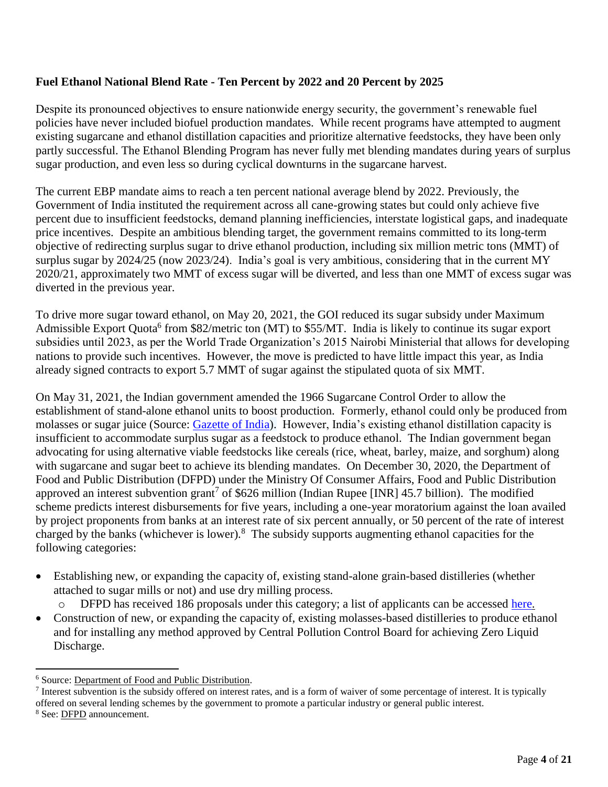# **Fuel Ethanol National Blend Rate - Ten Percent by 2022 and 20 Percent by 2025**

Despite its pronounced objectives to ensure nationwide energy security, the government's renewable fuel policies have never included biofuel production mandates. While recent programs have attempted to augment existing sugarcane and ethanol distillation capacities and prioritize alternative feedstocks, they have been only partly successful. The Ethanol Blending Program has never fully met blending mandates during years of surplus sugar production, and even less so during cyclical downturns in the sugarcane harvest.

The current EBP mandate aims to reach a ten percent national average blend by 2022. Previously, the Government of India instituted the requirement across all cane-growing states but could only achieve five percent due to insufficient feedstocks, demand planning inefficiencies, interstate logistical gaps, and inadequate price incentives. Despite an ambitious blending target, the government remains committed to its long-term objective of redirecting surplus sugar to drive ethanol production, including six million metric tons (MMT) of surplus sugar by 2024/25 (now 2023/24). India's goal is very ambitious, considering that in the current MY 2020/21, approximately two MMT of excess sugar will be diverted, and less than one MMT of excess sugar was diverted in the previous year.

To drive more sugar toward ethanol, on May 20, 2021, the GOI reduced its sugar subsidy under Maximum Admissible Export Quota<sup>6</sup> from \$82/metric ton (MT) to \$55/MT. India is likely to continue its sugar export subsidies until 2023, as per the World Trade Organization's 2015 Nairobi Ministerial that allows for developing nations to provide such incentives. However, the move is predicted to have little impact this year, as India already signed contracts to export 5.7 MMT of sugar against the stipulated quota of six MMT.

On May 31, 2021, the Indian government amended the 1966 Sugarcane Control Order to allow the establishment of stand-alone ethanol units to boost production. Formerly, ethanol could only be produced from molasses or sugar juice (Source: [Gazette of India\)](https://legalitysimplified.com/wp-content/uploads/2021/06/227265.pdf). However, India's existing ethanol distillation capacity is insufficient to accommodate surplus sugar as a feedstock to produce ethanol. The Indian government began advocating for using alternative viable feedstocks like cereals (rice, wheat, barley, maize, and sorghum) along with sugarcane and sugar beet to achieve its blending mandates. On December 30, 2020, the Department of Food and Public Distribution (DFPD) under the Ministry Of Consumer Affairs, Food and Public Distribution approved an interest subvention grant<sup>7</sup> of \$626 million (Indian Rupee [INR] 45.7 billion). The modified scheme predicts interest disbursements for five years, including a one-year moratorium against the loan availed by project proponents from banks at an interest rate of six percent annually, or 50 percent of the rate of interest charged by the banks (whichever is lower).<sup>8</sup> The subsidy supports augmenting ethanol capacities for the following categories:

- Establishing new, or expanding the capacity of, existing stand-alone grain-based distilleries (whether attached to sugar mills or not) and use dry milling process.
	- o DFPD has received 186 proposals under this category; a list of applicants can be accessed [here.](https://dfpd.gov.in/LwB3AHIAaQB0AGUAcgBlAGEAZABkAGEAdABhAC8AUABvAHIAdABhAGwALwBOAGUAdwBzAC8A431_1_list_I.pdf)
- Construction of new, or expanding the capacity of, existing molasses-based distilleries to produce ethanol and for installing any method approved by Central Pollution Control Board for achieving Zero Liquid Discharge.

 $\overline{\phantom{a}}$ <sup>6</sup> Source: [Department of Food and Public Distribution.](https://dfpd.gov.in/LwB3AHIAaQB0AGUAcgBlAGEAZABkAGEAdABhAC8AUABvAHIAdABhAGwALwBOAGUAdwBzAC8A439_1_Notification.pdf)

If Interest subvention is the subsidy offered on interest rates, and is a form of waiver of some percentage of interest. It is typically offered on several lending schemes by the government to promote a particular industry or general public interest.

<sup>8</sup> See: [DFPD](https://dfpd.gov.in/fgAvAHcAcgBpAHQAZQByAGUAYQBkAGQAYQB0AGEALwBQAG8AcgB0AGEAbAAvAE0AYQBnAGEAegBpAG4AZQAvAEQAbwBjAHUAbQBlAG4AdAAvAA==/1_526_1_ETHANOL.pdf) announcement.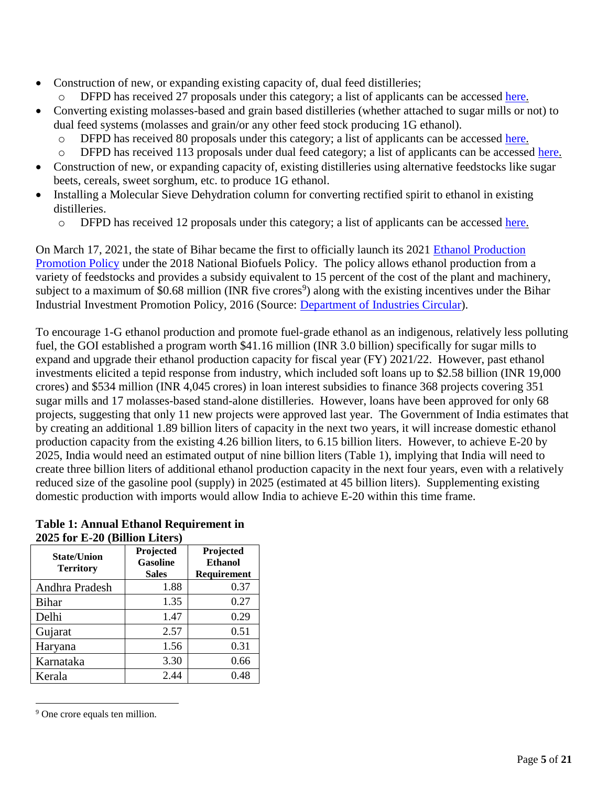- Construction of new, or expanding existing capacity of, dual feed distilleries; DFPD has received 27 proposals under this category; a list of applicants can be accessed [here.](https://dfpd.gov.in/LwB3AHIAaQB0AGUAcgBlAGEAZABkAGEAdABhAC8AUABvAHIAdABhAGwALwBOAGUAdwBzAC8A434_1_list_IV.pdf)
- Converting existing molasses-based and grain based distilleries (whether attached to sugar mills or not) to dual feed systems (molasses and grain/or any other feed stock producing 1G ethanol).
	- o DFPD has received 80 proposals under this category; a list of applicants can be accessed [here.](https://dfpd.gov.in/LwB3AHIAaQB0AGUAcgBlAGEAZABkAGEAdABhAC8AUABvAHIAdABhAGwALwBOAGUAdwBzAC8A432_1_List_II.pdf)
	- o DFPD has received 113 proposals under dual feed category; a list of applicants can be accessed [here.](https://dfpd.gov.in/LwB3AHIAaQB0AGUAcgBlAGEAZABkAGEAdABhAC8AUABvAHIAdABhAGwALwBOAGUAdwBzAC8A433_1_list_III.pdf)
- Construction of new, or expanding capacity of, existing distilleries using alternative feedstocks like sugar beets, cereals, sweet sorghum, etc. to produce 1G ethanol.
- Installing a Molecular Sieve Dehydration column for converting rectified spirit to ethanol in existing distilleries.
	- o DFPD has received 12 proposals under this category; a list of applicants can be accessed [here.](https://dfpd.gov.in/LwB3AHIAaQB0AGUAcgBlAGEAZABkAGEAdABhAC8AUABvAHIAdABhAGwALwBOAGUAdwBzAC8A435_1_list_V.pdf)

On March 17, 2021, the state of Bihar became the first to officially launch its 2021 [Ethanol Production](https://timesofindia.indiatimes.com/city/patna/bihar-1st-state-to-have-own-ethanol-policy-for-biofuel/articleshow/81593346.cms)  [Promotion Policy](https://timesofindia.indiatimes.com/city/patna/bihar-1st-state-to-have-own-ethanol-policy-for-biofuel/articleshow/81593346.cms) under the 2018 National Biofuels Policy. The policy allows ethanol production from a variety of feedstocks and provides a subsidy equivalent to 15 percent of the cost of the plant and machinery, subject to a maximum of \$0.68 million (INR five crores<sup>9</sup>) along with the existing incentives under the Bihar Industrial Investment Promotion Policy, 2016 (Source: [Department of Industries Circular\)](https://state.bihar.gov.in/industries/cache/26/24-Mar-21/SHOW_DOCS/circular-gov-757-dtd-17-03-21.pdf).

To encourage 1-G ethanol production and promote fuel-grade ethanol as an indigenous, relatively less polluting fuel, the GOI established a program worth \$41.16 million (INR 3.0 billion) specifically for sugar mills to expand and upgrade their ethanol production capacity for fiscal year (FY) 2021/22. However, past ethanol investments elicited a tepid response from industry, which included soft loans up to \$2.58 billion (INR 19,000 crores) and \$534 million (INR 4,045 crores) in loan interest subsidies to finance 368 projects covering 351 sugar mills and 17 molasses-based stand-alone distilleries. However, loans have been approved for only 68 projects, suggesting that only 11 new projects were approved last year. The Government of India estimates that by creating an additional 1.89 billion liters of capacity in the next two years, it will increase domestic ethanol production capacity from the existing 4.26 billion liters, to 6.15 billion liters. However, to achieve E-20 by 2025, India would need an estimated output of nine billion liters (Table 1), implying that India will need to create three billion liters of additional ethanol production capacity in the next four years, even with a relatively reduced size of the gasoline pool (supply) in 2025 (estimated at 45 billion liters). Supplementing existing domestic production with imports would allow India to achieve E-20 within this time frame.

| $\angle 0\angle 5$ for E- $\angle 0$ (Dhiioii Liters) |                                              |                                                   |  |  |  |  |  |  |  |
|-------------------------------------------------------|----------------------------------------------|---------------------------------------------------|--|--|--|--|--|--|--|
| <b>State/Union</b><br><b>Territory</b>                | Projected<br><b>Gasoline</b><br><b>Sales</b> | Projected<br><b>Ethanol</b><br><b>Requirement</b> |  |  |  |  |  |  |  |
| Andhra Pradesh                                        | 1.88                                         | 0.37                                              |  |  |  |  |  |  |  |
| <b>Bihar</b>                                          | 1.35                                         | 0.27                                              |  |  |  |  |  |  |  |
| Delhi                                                 | 1.47                                         | 0.29                                              |  |  |  |  |  |  |  |
| Gujarat                                               | 2.57                                         | 0.51                                              |  |  |  |  |  |  |  |
| Haryana                                               | 1.56                                         | 0.31                                              |  |  |  |  |  |  |  |
| Karnataka                                             | 3.30                                         | 0.66                                              |  |  |  |  |  |  |  |
| Kerala                                                | 2.44                                         | 0.48                                              |  |  |  |  |  |  |  |

# **Table 1: Annual Ethanol Requirement in 2025 for E-20 (Billion Liters)**

 $\overline{a}$ 

<sup>9</sup> One crore equals ten million.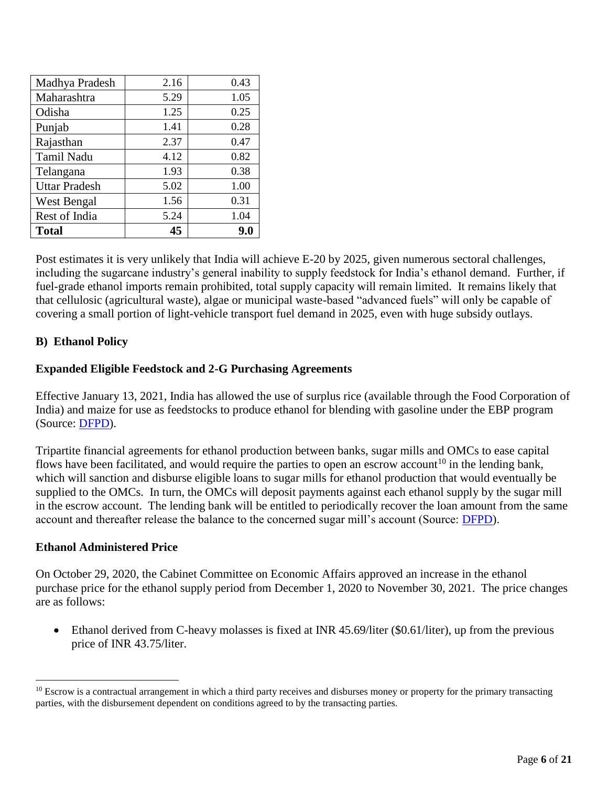| Punjab                  | 1.41         | 0.28         |
|-------------------------|--------------|--------------|
| Rajasthan<br>Tamil Nadu | 2.37<br>4.12 | 0.47<br>0.82 |
| Telangana               | 1.93         | 0.38         |
| <b>Uttar Pradesh</b>    | 5.02         | 1.00         |
| West Bengal             | 1.56         | 0.31         |
| Rest of India           | 5.24         | 1.04         |
| <b>Total</b>            | 45           | 9.0          |

Post estimates it is very unlikely that India will achieve E-20 by 2025, given numerous sectoral challenges, including the sugarcane industry's general inability to supply feedstock for India's ethanol demand. Further, if fuel-grade ethanol imports remain prohibited, total supply capacity will remain limited. It remains likely that that cellulosic (agricultural waste), algae or municipal waste-based "advanced fuels" will only be capable of covering a small portion of light-vehicle transport fuel demand in 2025, even with huge subsidy outlays.

### **B) Ethanol Policy**

### **Expanded Eligible Feedstock and 2-G Purchasing Agreements**

Effective January 13, 2021, India has allowed the use of surplus rice (available through the Food Corporation of India) and maize for use as feedstocks to produce ethanol for blending with gasoline under the EBP program (Source: [DFPD\)](https://sugarethanol.nic.in/assets/Pdfs/Decisions_NBCC.pdf).

Tripartite financial agreements for ethanol production between banks, sugar mills and OMCs to ease capital flows have been facilitated, and would require the parties to open an escrow account<sup>10</sup> in the lending bank, which will sanction and disburse eligible loans to sugar mills for ethanol production that would eventually be supplied to the OMCs. In turn, the OMCs will deposit payments against each ethanol supply by the sugar mill in the escrow account. The lending bank will be entitled to periodically recover the loan amount from the same account and thereafter release the balance to the concerned sugar mill's account (Source: [DFPD\)](https://sugarethanol.nic.in/assets/Pdfs/GuidelinescumSOP.pdf).

#### **Ethanol Administered Price**

 $\overline{\phantom{a}}$ 

On October 29, 2020, the Cabinet Committee on Economic Affairs approved an increase in the ethanol purchase price for the ethanol supply period from December 1, 2020 to November 30, 2021. The price changes are as follows:

 Ethanol derived from C-heavy molasses is fixed at INR 45.69/liter (\$0.61/liter), up from the previous price of INR 43.75/liter.

 $10$  Escrow is a contractual arrangement in which a third party receives and disburses money or property for the primary transacting parties, with the disbursement dependent on conditions agreed to by the transacting parties.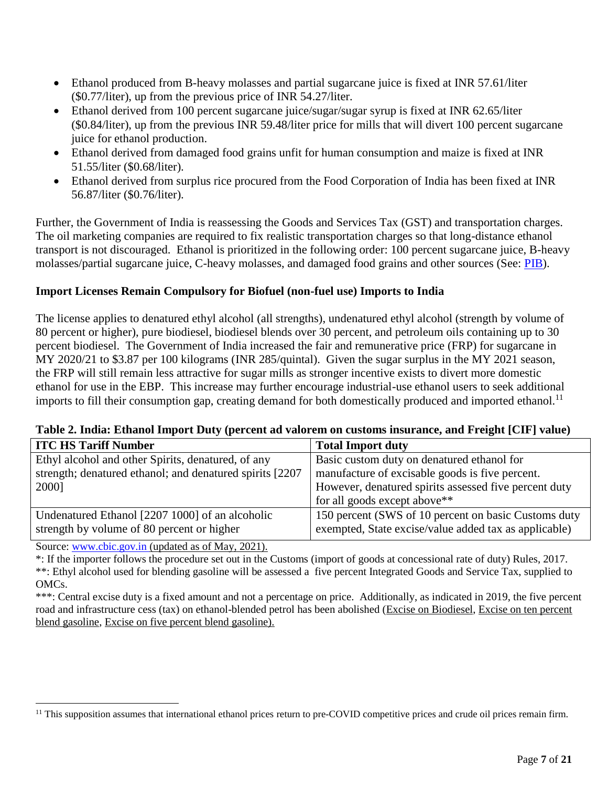- Ethanol produced from B-heavy molasses and partial sugarcane juice is fixed at INR 57.61/liter (\$0.77/liter), up from the previous price of INR 54.27/liter.
- Ethanol derived from 100 percent sugarcane juice/sugar/sugar syrup is fixed at INR 62.65/liter (\$0.84/liter), up from the previous INR 59.48/liter price for mills that will divert 100 percent sugarcane juice for ethanol production.
- Ethanol derived from damaged food grains unfit for human consumption and maize is fixed at INR 51.55/liter (\$0.68/liter).
- Ethanol derived from surplus rice procured from the Food Corporation of India has been fixed at INR 56.87/liter (\$0.76/liter).

Further, the Government of India is reassessing the Goods and Services Tax (GST) and transportation charges. The oil marketing companies are required to fix realistic transportation charges so that long-distance ethanol transport is not discouraged. Ethanol is prioritized in the following order: 100 percent sugarcane juice, B-heavy molasses/partial sugarcane juice, C-heavy molasses, and damaged food grains and other sources (See: [PIB\)](https://pib.gov.in/PressReleseDetail.aspx?PRID=1668399).

# **Import Licenses Remain Compulsory for Biofuel (non-fuel use) Imports to India**

The license applies to denatured ethyl alcohol (all strengths), undenatured ethyl alcohol (strength by volume of 80 percent or higher), pure biodiesel, biodiesel blends over 30 percent, and petroleum oils containing up to 30 percent biodiesel. The Government of India increased the fair and remunerative price (FRP) for sugarcane in MY 2020/21 to \$3.87 per 100 kilograms (INR 285/quintal). Given the sugar surplus in the MY 2021 season, the FRP will still remain less attractive for sugar mills as stronger incentive exists to divert more domestic ethanol for use in the EBP. This increase may further encourage industrial-use ethanol users to seek additional imports to fill their consumption gap, creating demand for both domestically produced and imported ethanol.<sup>11</sup>

#### **Table 2. India: Ethanol Import Duty (percent ad valorem on customs insurance, and Freight [CIF] value)**

| <b>ITC HS Tariff Number</b>                               | <b>Total Import duty</b>                              |
|-----------------------------------------------------------|-------------------------------------------------------|
| Ethyl alcohol and other Spirits, denatured, of any        | Basic custom duty on denatured ethanol for            |
| strength; denatured ethanol; and denatured spirits [2207] | manufacture of excisable goods is five percent.       |
| 2000]                                                     | However, denatured spirits assessed five percent duty |
|                                                           | for all goods except above <sup>**</sup>              |
| Undenatured Ethanol [2207 1000] of an alcoholic           | 150 percent (SWS of 10 percent on basic Customs duty  |
| strength by volume of 80 percent or higher                | exempted, State excise/value added tax as applicable) |

Source: [www.cbic.gov.in](http://www.cbec.gov.in/) (updated as of May, 2021).

\*: If the importer follows the procedure set out in the Customs (import of goods at concessional rate of duty) Rules, 2017. \*\*: Ethyl alcohol used for blending gasoline will be assessed a five percent Integrated Goods and Service Tax, supplied to OMCs.

\*\*\*: Central excise duty is a fixed amount and not a percentage on price. Additionally, as indicated in 2019, the five percent road and infrastructure cess (tax) on ethanol-blended petrol has been abolished [\(Excise on Biodiesel,](http://www.cbic.gov.in/htdocs-cbec/excise/cx-act/notifications/notfns-2018/cx-tarr2018/ce13-2018.pdf) [Excise on ten percent](http://www.cbic.gov.in/htdocs-cbec/excise/cx-act/notifications/notfns-2018/cx-tarr2018/ce12-2018.pdf)  [blend gasoline,](http://www.cbic.gov.in/htdocs-cbec/excise/cx-act/notifications/notfns-2018/cx-tarr2018/ce12-2018.pdf) Excise on five percent blend gasoline).

 $\overline{a}$ <sup>11</sup> This supposition assumes that international ethanol prices return to pre-COVID competitive prices and crude oil prices remain firm.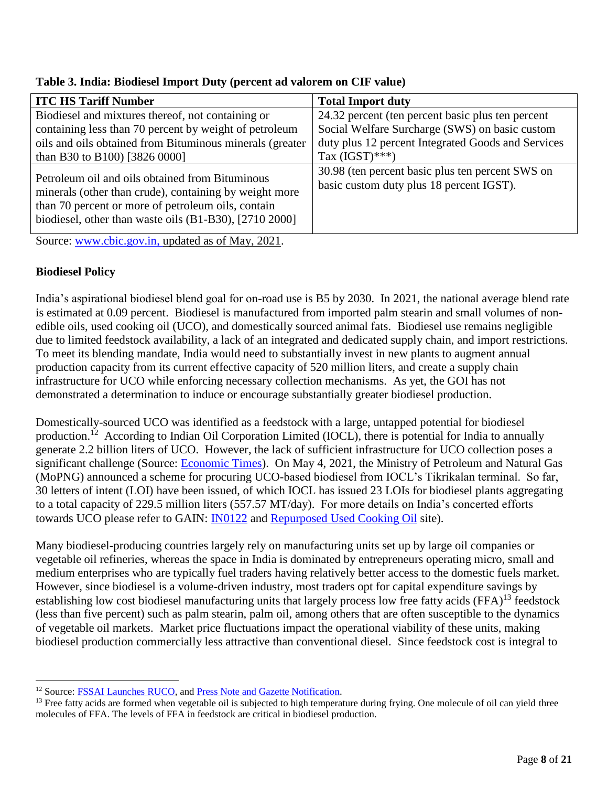| <b>ITC HS Tariff Number</b>                                                                                                                                                                                                    | <b>Total Import duty</b>                                                                                                                                                       |
|--------------------------------------------------------------------------------------------------------------------------------------------------------------------------------------------------------------------------------|--------------------------------------------------------------------------------------------------------------------------------------------------------------------------------|
| Biodiesel and mixtures thereof, not containing or<br>containing less than 70 percent by weight of petroleum<br>oils and oils obtained from Bituminous minerals (greater<br>than B30 to B100) [3826 0000]                       | 24.32 percent (ten percent basic plus ten percent<br>Social Welfare Surcharge (SWS) on basic custom<br>duty plus 12 percent Integrated Goods and Services<br>Tax $(IGST)$ ***) |
| Petroleum oil and oils obtained from Bituminous<br>minerals (other than crude), containing by weight more<br>than 70 percent or more of petroleum oils, contain<br>biodiesel, other than waste oils $(B1-B30)$ , $[2710 2000]$ | 30.98 (ten percent basic plus ten percent SWS on<br>basic custom duty plus 18 percent IGST).                                                                                   |
| Source: www.chic.gov.in.undated.go.of May 2021                                                                                                                                                                                 |                                                                                                                                                                                |

**Table 3. India: Biodiesel Import Duty (percent ad valorem on CIF value)**

Source: <u>www.cbic.gov.in, updated as of May, 2021</u>.

# **Biodiesel Policy**

 $\overline{\phantom{a}}$ 

India's aspirational biodiesel blend goal for on-road use is B5 by 2030. In 2021, the national average blend rate is estimated at 0.09 percent. Biodiesel is manufactured from imported palm stearin and small volumes of nonedible oils, used cooking oil (UCO), and domestically sourced animal fats. Biodiesel use remains negligible due to limited feedstock availability, a lack of an integrated and dedicated supply chain, and import restrictions. To meet its blending mandate, India would need to substantially invest in new plants to augment annual production capacity from its current effective capacity of 520 million liters, and create a supply chain infrastructure for UCO while enforcing necessary collection mechanisms. As yet, the GOI has not demonstrated a determination to induce or encourage substantially greater biodiesel production.

Domestically-sourced UCO was identified as a feedstock with a large, untapped potential for biodiesel production.<sup>12</sup> According to Indian Oil Corporation Limited (IOCL), there is potential for India to annually generate 2.2 billion liters of UCO. However, the lack of sufficient infrastructure for UCO collection poses a significant challenge (Source: [Economic Ti](https://energy.economictimes.indiatimes.com/news/oil-and-gas/diesel-doped-with-biodiesel-made-from-used-cooking-oil-rolled-out/82398223)mes). On May 4, 2021, the Ministry of Petroleum and Natural Gas (MoPNG) announced a scheme for procuring UCO-based biodiesel from IOCL's Tikrikalan terminal. So far, 30 letters of intent (LOI) have been issued, of which IOCL has issued 23 LOIs for biodiesel plants aggregating to a total capacity of 229.5 million liters (557.57 MT/day). For more details on India's concerted efforts towards UCO please refer to GAIN: **IN0122** and **Repurposed Used Cooking Oil** site).

Many biodiesel-producing countries largely rely on manufacturing units set up by large oil companies or vegetable oil refineries, whereas the space in India is dominated by entrepreneurs operating micro, small and medium enterprises who are typically fuel traders having relatively better access to the domestic fuels market. However, since biodiesel is a volume-driven industry, most traders opt for capital expenditure savings by establishing low cost biodiesel manufacturing units that largely process low free fatty acids (FFA)<sup>13</sup> feedstock (less than five percent) such as palm stearin, palm oil, among others that are often susceptible to the dynamics of vegetable oil markets. Market price fluctuations impact the operational viability of these units, making biodiesel production commercially less attractive than conventional diesel. Since feedstock cost is integral to

<sup>&</sup>lt;sup>12</sup> Source: [FSSAI Launches RUCO,](https://fssai.gov.in/dam/jcr:985ac331-b720-43c0-a6ee-2fc9bddaa29c/Press_Release_RUCO_10_08_2018.pdf) and [Press Note and Gazette Notification.](https://fssai.gov.in/ruco/gazette-notification.php)

<sup>&</sup>lt;sup>13</sup> Free fatty acids are formed when vegetable oil is subjected to high temperature during frying. One molecule of oil can yield three molecules of FFA. The levels of FFA in feedstock are critical in biodiesel production.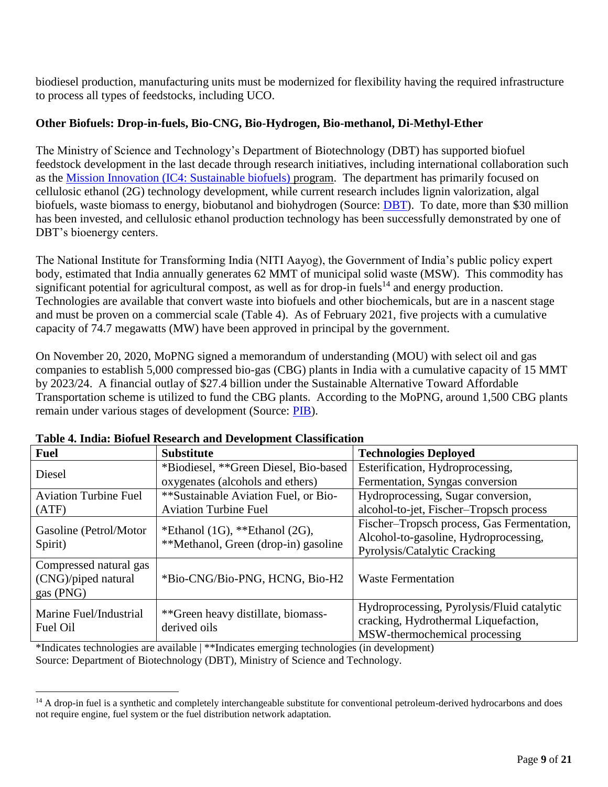biodiesel production, manufacturing units must be modernized for flexibility having the required infrastructure to process all types of feedstocks, including UCO.

# **Other Biofuels: Drop-in-fuels, Bio-CNG, Bio-Hydrogen, Bio-methanol, Di-Methyl-Ether**

The Ministry of Science and Technology's Department of Biotechnology (DBT) has supported biofuel feedstock development in the last decade through research initiatives, including international collaboration such as the [Mission Innovation \(IC4: Sustainable biofuels\)](http://mission-innovation.net/our-work/innovation-challenges/sustainable-biofuels/) program. The department has primarily focused on cellulosic ethanol (2G) technology development, while current research includes lignin valorization, algal biofuels, waste biomass to energy, biobutanol and biohydrogen (Source: [DBT\)](http://dbtindia.gov.in/sites/default/files/advertisement15062018.pdf). To date, more than \$30 million has been invested, and cellulosic ethanol production technology has been successfully demonstrated by one of DBT's bioenergy centers.

The National Institute for Transforming India (NITI Aayog), the Government of India's public policy expert body, estimated that India annually generates 62 MMT of municipal solid waste (MSW). This commodity has significant potential for agricultural compost, as well as for drop-in fuels<sup>14</sup> and energy production. Technologies are available that convert waste into biofuels and other biochemicals, but are in a nascent stage and must be proven on a commercial scale (Table 4). As of February 2021, five projects with a cumulative capacity of 74.7 megawatts (MW) have been approved in principal by the government.

On November 20, 2020, MoPNG signed a memorandum of understanding (MOU) with select oil and gas companies to establish 5,000 compressed bio-gas (CBG) plants in India with a cumulative capacity of 15 MMT by 2023/24. A financial outlay of \$27.4 billion under the Sustainable Alternative Toward Affordable Transportation scheme is utilized to fund the CBG plants. According to the MoPNG, around 1,500 CBG plants remain under various stages of development (Source: [PIB\)](https://pib.gov.in/PressReleasePage.aspx?PRID=1674428).

| <b>Fuel</b>                                                | <b>Substitute</b>                                  | <b>Technologies Deployed</b>                                                                                        |  |  |
|------------------------------------------------------------|----------------------------------------------------|---------------------------------------------------------------------------------------------------------------------|--|--|
| Diesel                                                     | *Biodiesel, **Green Diesel, Bio-based              | Esterification, Hydroprocessing,                                                                                    |  |  |
|                                                            | oxygenates (alcohols and ethers)                   | Fermentation, Syngas conversion                                                                                     |  |  |
| <b>Aviation Turbine Fuel</b>                               | **Sustainable Aviation Fuel, or Bio-               | Hydroprocessing, Sugar conversion,                                                                                  |  |  |
| (ATF)                                                      | <b>Aviation Turbine Fuel</b>                       | alcohol-to-jet, Fischer-Tropsch process                                                                             |  |  |
| Gasoline (Petrol/Motor)                                    | *Ethanol $(1G)$ , **Ethanol $(2G)$ ,               | Fischer-Tropsch process, Gas Fermentation,                                                                          |  |  |
| Spirit)                                                    | **Methanol, Green (drop-in) gasoline               | Alcohol-to-gasoline, Hydroprocessing,                                                                               |  |  |
|                                                            |                                                    | Pyrolysis/Catalytic Cracking                                                                                        |  |  |
| Compressed natural gas<br>(CNG)/piped natural<br>gas (PNG) | *Bio-CNG/Bio-PNG, HCNG, Bio-H2                     | <b>Waste Fermentation</b>                                                                                           |  |  |
| Marine Fuel/Industrial<br>Fuel Oil                         | **Green heavy distillate, biomass-<br>derived oils | Hydroprocessing, Pyrolysis/Fluid catalytic<br>cracking, Hydrothermal Liquefaction,<br>MSW-thermochemical processing |  |  |

#### **Table 4. India: Biofuel Research and Development Classification**

\*Indicates technologies are available | \*\*Indicates emerging technologies (in development) Source: Department of Biotechnology (DBT), Ministry of Science and Technology.

l

<sup>&</sup>lt;sup>14</sup> A drop-in fuel is a synthetic and completely interchangeable substitute for conventional petroleum-derived hydrocarbons and does not require engine, fuel system or the fuel distribution network adaptation.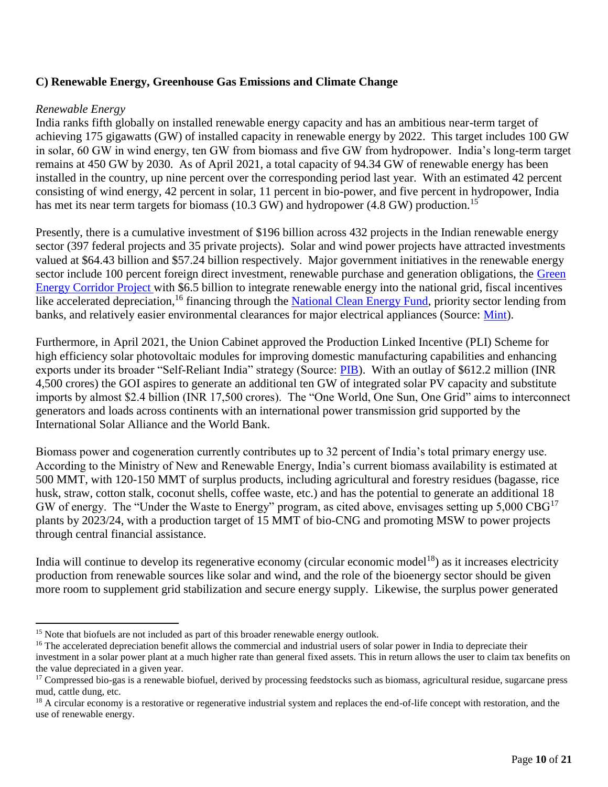# **C) Renewable Energy, Greenhouse Gas Emissions and Climate Change**

### *Renewable Energy*

l

India ranks fifth globally on installed renewable energy capacity and has an ambitious near-term target of achieving 175 gigawatts (GW) of installed capacity in renewable energy by 2022. This target includes 100 GW in solar, 60 GW in wind energy, ten GW from biomass and five GW from hydropower. India's long-term target remains at 450 GW by 2030. As of April 2021, a total capacity of 94.34 GW of renewable energy has been installed in the country, up nine percent over the corresponding period last year. With an estimated 42 percent consisting of wind energy, 42 percent in solar, 11 percent in bio-power, and five percent in hydropower, India has met its near term targets for biomass (10.3 GW) and hydropower (4.8 GW) production.<sup>15</sup>

Presently, there is a cumulative investment of \$196 billion across 432 projects in the Indian renewable energy sector (397 federal projects and 35 private projects). Solar and wind power projects have attracted investments valued at \$64.43 billion and \$57.24 billion respectively. Major government initiatives in the renewable energy sector include 100 percent foreign direct investment, renewable purchase and generation obligations, the Green [Energy Corridor Project](https://mnre.gov.in/green-energy-corridor) with \$6.5 billion to integrate renewable energy into the national grid, fiscal incentives like accelerated depreciation,<sup>16</sup> financing through the [National Clean Energy Fund,](https://www.doe.gov.in/sites/default/files/NCEF%20Brief_post_BE_2017-18.pdf) priority sector lending from banks, and relatively easier environmental clearances for major electrical appliances (Source: [Mint\)](https://www.livemint.com/Politics/QW4cJ9yjhmvUtOZCPyOt3J/Govt-eases-environment-clearance-rules-for-solar-projects.html).

Furthermore, in April 2021, the Union Cabinet approved the Production Linked Incentive (PLI) Scheme for high efficiency solar photovoltaic modules for improving domestic manufacturing capabilities and enhancing exports under its broader "Self-Reliant India" strategy (Source: [PIB\)](https://pib.gov.in/PressReleasePage.aspx?PRID=1710113#:~:text=PLI%20will%20be%20disbursed%20for,material%20from%20the%20domestic%20market.). With an outlay of \$612.2 million (INR 4,500 crores) the GOI aspires to generate an additional ten GW of integrated solar PV capacity and substitute imports by almost \$2.4 billion (INR 17,500 crores). The "One World, One Sun, One Grid" aims to interconnect generators and loads across continents with an international power transmission grid supported by the International Solar Alliance and the World Bank.

Biomass power and cogeneration currently contributes up to 32 percent of India's total primary energy use. According to the Ministry of New and Renewable Energy, India's current biomass availability is estimated at 500 MMT, with 120-150 MMT of surplus products, including agricultural and forestry residues (bagasse, rice husk, straw, cotton stalk, coconut shells, coffee waste, etc.) and has the potential to generate an additional 18 GW of energy. The "Under the Waste to Energy" program, as cited above, envisages setting up  $5,000 \text{ CBG}^{17}$ plants by 2023/24, with a production target of 15 MMT of bio-CNG and promoting MSW to power projects through central financial assistance.

India will continue to develop its regenerative economy (circular economic model<sup>18</sup>) as it increases electricity production from renewable sources like solar and wind, and the role of the bioenergy sector should be given more room to supplement grid stabilization and secure energy supply. Likewise, the surplus power generated

<sup>16</sup> The accelerated depreciation benefit allows the commercial and industrial users of solar power in India to depreciate their investment in a solar power plant at a much higher rate than general fixed assets. This in return allows the user to claim tax benefits on the value depreciated in a given year.

<sup>&</sup>lt;sup>15</sup> Note that biofuels are not included as part of this broader renewable energy outlook.

 $17$  Compressed bio-gas is a renewable biofuel, derived by processing feedstocks such as biomass, agricultural residue, sugarcane press mud, cattle dung, etc.

<sup>&</sup>lt;sup>18</sup> A circular economy is a restorative or regenerative industrial system and replaces the end-of-life concept with restoration, and the use of renewable energy.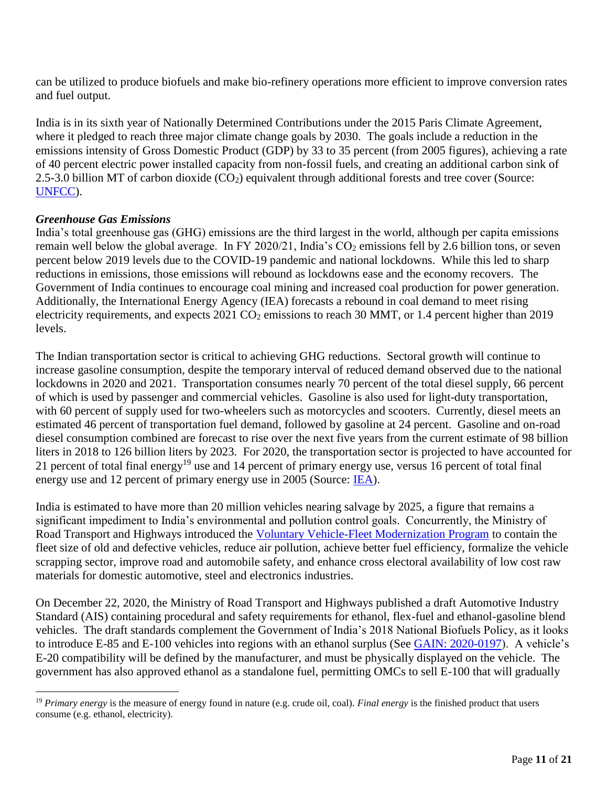can be utilized to produce biofuels and make bio-refinery operations more efficient to improve conversion rates and fuel output.

India is in its sixth year of Nationally Determined Contributions under the 2015 Paris Climate Agreement, where it pledged to reach three major climate change goals by 2030. The goals include a reduction in the emissions intensity of Gross Domestic Product (GDP) by 33 to 35 percent (from 2005 figures), achieving a rate of 40 percent electric power installed capacity from non-fossil fuels, and creating an additional carbon sink of 2.5-3.0 billion MT of carbon dioxide (CO<sub>2</sub>) equivalent through additional forests and tree cover (Source: [UNFCC\)](https://www4.unfccc.int/sites/ndcstaging/PublishedDocuments/India%20First/INDIA%20INDC%20TO%20UNFCCC.pdf).

# *Greenhouse Gas Emissions*

l

India's total greenhouse gas (GHG) emissions are the third largest in the world, although per capita emissions remain well below the global average. In FY 2020/21, India's  $CO<sub>2</sub>$  emissions fell by 2.6 billion tons, or seven percent below 2019 levels due to the COVID-19 pandemic and national lockdowns. While this led to sharp reductions in emissions, those emissions will rebound as lockdowns ease and the economy recovers. The Government of India continues to encourage coal mining and increased coal production for power generation. Additionally, the International Energy Agency (IEA) forecasts a rebound in coal demand to meet rising electricity requirements, and expects  $2021 \text{ CO}_2$  emissions to reach 30 MMT, or 1.4 percent higher than 2019 levels.

The Indian transportation sector is critical to achieving GHG reductions. Sectoral growth will continue to increase gasoline consumption, despite the temporary interval of reduced demand observed due to the national lockdowns in 2020 and 2021. Transportation consumes nearly 70 percent of the total diesel supply, 66 percent of which is used by passenger and commercial vehicles. Gasoline is also used for light-duty transportation, with 60 percent of supply used for two-wheelers such as motorcycles and scooters. Currently, diesel meets an estimated 46 percent of transportation fuel demand, followed by gasoline at 24 percent. Gasoline and on-road diesel consumption combined are forecast to rise over the next five years from the current estimate of 98 billion liters in 2018 to 126 billion liters by 2023. For 2020, the transportation sector is projected to have accounted for 21 percent of total final energy<sup>19</sup> use and 14 percent of primary energy use, versus 16 percent of total final energy use and 12 percent of primary energy use in 2005 (Source: **IEA**).

India is estimated to have more than 20 million vehicles nearing salvage by 2025, a figure that remains a significant impediment to India's environmental and pollution control goals. Concurrently, the Ministry of Road Transport and Highways introduced the [Voluntary Vehicle-Fleet Modernization Program](https://pib.gov.in/PressReleaseIframePage.aspx?PRID=1705811#:~:text=The%20objectives%20of%20the%20policy,scrapping%20industry%20and%20boost%20availability) to contain the fleet size of old and defective vehicles, reduce air pollution, achieve better fuel efficiency, formalize the vehicle scrapping sector, improve road and automobile safety, and enhance cross electoral availability of low cost raw materials for domestic automotive, steel and electronics industries.

On December 22, 2020, the Ministry of Road Transport and Highways published a draft Automotive Industry Standard (AIS) containing procedural and safety requirements for ethanol, flex-fuel and ethanol-gasoline blend vehicles. The draft standards complement the Government of India's 2018 National Biofuels Policy, as it looks to introduce E-85 and E-100 vehicles into regions with an ethanol surplus (See [GAIN: 2020-0197\)](https://www.fas.usda.gov/data/india-government-india-publishes-draft-automotive-industry-standards-it-accelerates-ethanol). A vehicle's E-20 compatibility will be defined by the manufacturer, and must be physically displayed on the vehicle. The government has also approved ethanol as a standalone fuel, permitting OMCs to sell E-100 that will gradually

<sup>&</sup>lt;sup>19</sup> Primary energy is the measure of energy found in nature (e.g. crude oil, coal). *Final energy* is the finished product that users consume (e.g. ethanol, electricity).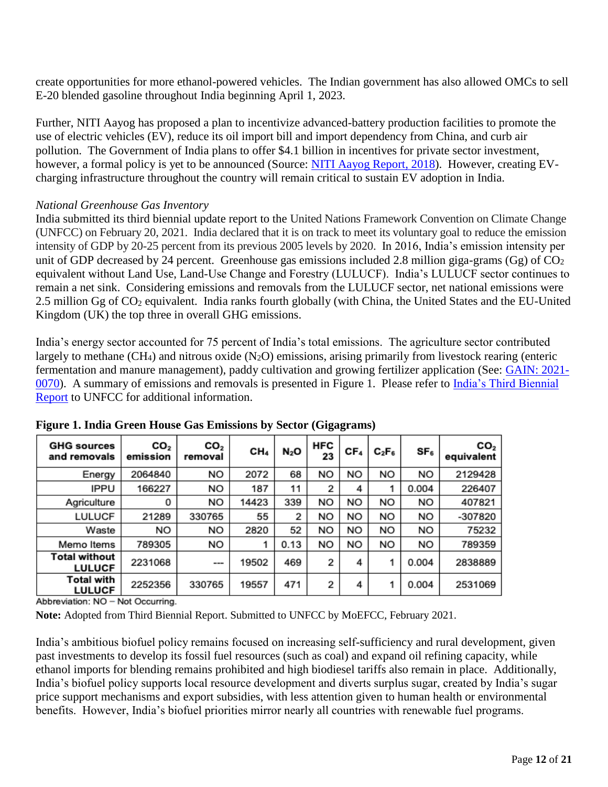create opportunities for more ethanol-powered vehicles. The Indian government has also allowed OMCs to sell E-20 blended gasoline throughout India beginning April 1, 2023.

Further, NITI Aayog has proposed a plan to incentivize advanced-battery production facilities to promote the use of electric vehicles (EV), reduce its oil import bill and import dependency from China, and curb air pollution. The Government of India plans to offer \$4.1 billion in incentives for private sector investment, however, a formal policy is yet to be announced (Source: [NITI Aayog Report,](https://niti.gov.in/writereaddata/files/document_publication/EV_report.pdf) 2018). However, creating EVcharging infrastructure throughout the country will remain critical to sustain EV adoption in India.

### *National Greenhouse Gas Inventory*

India submitted its third biennial update report to the United Nations Framework Convention on Climate Change (UNFCC) on February 20, 2021. India declared that it is on track to meet its voluntary goal to reduce the emission intensity of GDP by 20-25 percent from its previous 2005 levels by 2020. In 2016, India's emission intensity per unit of GDP decreased by 24 percent. Greenhouse gas emissions included 2.8 million giga-grams (Gg) of  $CO<sub>2</sub>$ equivalent without Land Use, Land-Use Change and Forestry (LULUCF). India's LULUCF sector continues to remain a net sink. Considering emissions and removals from the LULUCF sector, net national emissions were 2.5 million Gg of CO<sup>2</sup> equivalent. India ranks fourth globally (with China, the United States and the EU-United Kingdom (UK) the top three in overall GHG emissions.

India's energy sector accounted for 75 percent of India's total emissions. The agriculture sector contributed largely to methane  $(CH_4)$  and nitrous oxide  $(N_2O)$  emissions, arising primarily from livestock rearing (enteric fermentation and manure management), paddy cultivation and growing fertilizer application (See: [GAIN: 2021-](https://www.fas.usda.gov/data/india-climate-change-agriculture-and-policy-india) [0070\)](https://www.fas.usda.gov/data/india-climate-change-agriculture-and-policy-india). A summary of emissions and removals is presented in Figure 1. Please refer to [India's Third Biennial](https://unfccc.int/sites/default/files/resource/INDIA_%20BUR-3_20.02.2021_High.pdf)  [Report](https://unfccc.int/sites/default/files/resource/INDIA_%20BUR-3_20.02.2021_High.pdf) to UNFCC for additional information.

| <b>GHG</b> sources<br>and removals | CO <sub>2</sub><br>emission | CO <sub>2</sub><br>removal | CH <sub>4</sub> | $N_2O$ | HFC<br>23 | CF <sub>4</sub> | $C_2F_6$ | SF <sub>6</sub> | CO <sub>2</sub><br>equivalent |
|------------------------------------|-----------------------------|----------------------------|-----------------|--------|-----------|-----------------|----------|-----------------|-------------------------------|
| Energy                             | 2064840                     | NO                         | 2072            | 68     | <b>NO</b> | <b>NO</b>       | NO       | NO              | 2129428                       |
| IPPU                               | 166227                      | NO                         | 187             | 11     | 2         | 4               |          | 0.004           | 226407                        |
| Agriculture                        | 0                           | NO                         | 14423           | 339    | NO        | NO              | NO       | NO              | 407821                        |
| <b>LULUCF</b>                      | 21289                       | 330765                     | 55              | 2      | NO        | NO              | NO       | NO              | -307820                       |
| Waste                              | NO                          | <b>NO</b>                  | 2820            | 52     | NO        | NO              | NO       | NO              | 75232                         |
| Memo Items                         | 789305                      | NO                         |                 | 0.13   | NO        | NO              | NO       | NO              | 789359                        |
| Total without<br><b>LULUCF</b>     | 2231068                     | ---                        | 19502           | 469    | 2         | 4               |          | 0.004           | 2838889                       |
| Total with<br><b>LULUCF</b>        | 2252356                     | 330765                     | 19557           | 471    | 2         | 4               |          | 0.004           | 2531069                       |

**Figure 1. India Green House Gas Emissions by Sector (Gigagrams)**

Abbreviation: NO - Not Occurring.

**Note:** Adopted from Third Biennial Report. Submitted to UNFCC by MoEFCC, February 2021.

India's ambitious biofuel policy remains focused on increasing self-sufficiency and rural development, given past investments to develop its fossil fuel resources (such as coal) and expand oil refining capacity, while ethanol imports for blending remains prohibited and high biodiesel tariffs also remain in place. Additionally, India's biofuel policy supports local resource development and diverts surplus sugar, created by India's sugar price support mechanisms and export subsidies, with less attention given to human health or environmental benefits. However, India's biofuel priorities mirror nearly all countries with renewable fuel programs.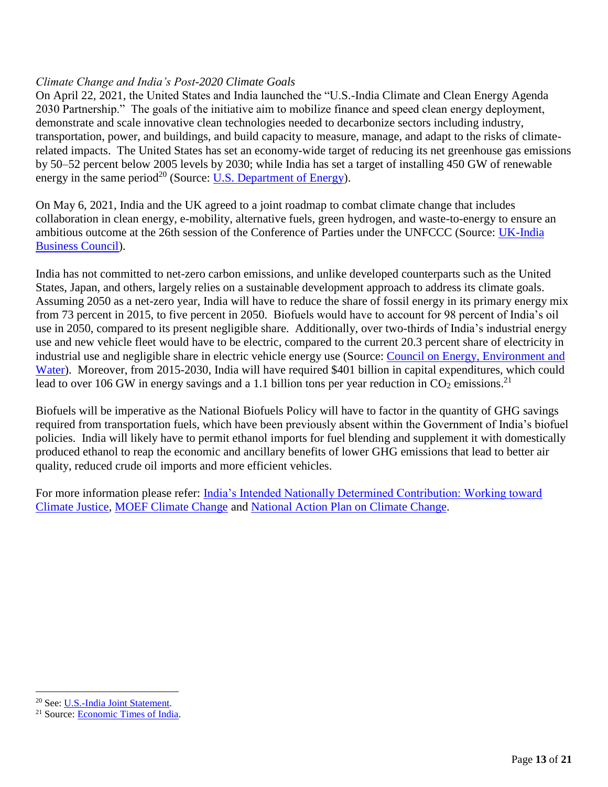# *Climate Change and India's Post-2020 Climate Goals*

On April 22, 2021, the United States and India launched the "U.S.-India Climate and Clean Energy Agenda 2030 Partnership." The goals of the initiative aim to mobilize finance and speed clean energy deployment, demonstrate and scale innovative clean technologies needed to decarbonize sectors including industry, transportation, power, and buildings, and build capacity to measure, manage, and adapt to the risks of climaterelated impacts. The United States has set an economy-wide target of reducing its net greenhouse gas emissions by 50–52 percent below 2005 levels by 2030; while India has set a target of installing 450 GW of renewable energy in the same period<sup>20</sup> (Source: [U.S. Department of Energy\)](https://gcc02.safelinks.protection.outlook.com/?url=https%3A%2F%2Fwww.energy.gov%2Farticles%2Fus-india-joint-statement-launching-us-india-climate-and-clean-energy-agenda-2030&data=04%7C01%7CRosmannMA%40state.gov%7Cc061b8a0550347258e9708d91445ec27%7C66cf50745afe48d1a691a12b2121f44b%7C0%7C0%7C637563112809623627%7CUnknown%7CTWFpbGZsb3d8eyJWIjoiMC4wLjAwMDAiLCJQIjoiV2luMzIiLCJBTiI6Ik1haWwiLCJXVCI6Mn0%3D%7C1000&sdata=3y8Um7YmcVtwgAvtGVw%2BbNHRoZYTsUFC7OTshSJzmbo%3D&reserved=0).

On May 6, 2021, India and the UK agreed to a joint roadmap to combat climate change that includes collaboration in clean energy, e-mobility, alternative fuels, green hydrogen, and waste-to-energy to ensure an ambitious outcome at the 26th session of the Conference of Parties under the UNFCCC (Source: [UK-India](https://gcc02.safelinks.protection.outlook.com/?url=https%3A%2F%2Fwww.ukibc.com%2Fuk-india-roadmap-2030-partnership-in-energy-transition%2F&data=04%7C01%7CRosmannMA%40state.gov%7Cc061b8a0550347258e9708d91445ec27%7C66cf50745afe48d1a691a12b2121f44b%7C0%7C0%7C637563112809623627%7CUnknown%7CTWFpbGZsb3d8eyJWIjoiMC4wLjAwMDAiLCJQIjoiV2luMzIiLCJBTiI6Ik1haWwiLCJXVCI6Mn0%3D%7C1000&sdata=VCV5sqNiGxeEYTnqn2q8DmvlsYkPMyile4iWxh1vW14%3D&reserved=0)  [Business Council\)](https://gcc02.safelinks.protection.outlook.com/?url=https%3A%2F%2Fwww.ukibc.com%2Fuk-india-roadmap-2030-partnership-in-energy-transition%2F&data=04%7C01%7CRosmannMA%40state.gov%7Cc061b8a0550347258e9708d91445ec27%7C66cf50745afe48d1a691a12b2121f44b%7C0%7C0%7C637563112809623627%7CUnknown%7CTWFpbGZsb3d8eyJWIjoiMC4wLjAwMDAiLCJQIjoiV2luMzIiLCJBTiI6Ik1haWwiLCJXVCI6Mn0%3D%7C1000&sdata=VCV5sqNiGxeEYTnqn2q8DmvlsYkPMyile4iWxh1vW14%3D&reserved=0).

India has not committed to net-zero carbon emissions, and unlike developed counterparts such as the United States, Japan, and others, largely relies on a sustainable development approach to address its climate goals. Assuming 2050 as a net-zero year, India will have to reduce the share of fossil energy in its primary energy mix from 73 percent in 2015, to five percent in 2050. Biofuels would have to account for 98 percent of India's oil use in 2050, compared to its present negligible share. Additionally, over two-thirds of India's industrial energy use and new vehicle fleet would have to be electric, compared to the current 20.3 percent share of electricity in industrial use and negligible share in electric vehicle energy use (Source: [Council on Energy, Environment and](https://www.ceew.in/sites/default/files/Net-Zero-and-Peak%20-missions-22Mar21.pdf)  [Water\)](https://www.ceew.in/sites/default/files/Net-Zero-and-Peak%20-missions-22Mar21.pdf). Moreover, from 2015-2030, India will have required \$401 billion in capital expenditures, which could lead to over 106 GW in energy savings and a 1.1 billion tons per year reduction in  $CO_2$  emissions.<sup>21</sup>

Biofuels will be imperative as the National Biofuels Policy will have to factor in the quantity of GHG savings required from transportation fuels, which have been previously absent within the Government of India's biofuel policies. India will likely have to permit ethanol imports for fuel blending and supplement it with domestically produced ethanol to reap the economic and ancillary benefits of lower GHG emissions that lead to better air quality, reduced crude oil imports and more efficient vehicles.

For more information please refer: [India's Intended Nationally Determined Contribution: Working toward](https://gcc02.safelinks.protection.outlook.com/?url=https%3A%2F%2Fwww4.unfccc.int%2Fsites%2Fndcstaging%2FPublishedDocuments%2FIndia%2520First%2FINDIA%2520INDC%2520TO%2520UNFCCC.pdf&data=04%7C01%7CRosmannMA%40state.gov%7Cc061b8a0550347258e9708d91445ec27%7C66cf50745afe48d1a691a12b2121f44b%7C0%7C0%7C637563112809633584%7CUnknown%7CTWFpbGZsb3d8eyJWIjoiMC4wLjAwMDAiLCJQIjoiV2luMzIiLCJBTiI6Ik1haWwiLCJXVCI6Mn0%3D%7C1000&sdata=iPQKXb0PKVB%2BOJJpKm0yYJf1bI1Wp3kGUcI5zEtE%2FXs%3D&reserved=0)  [Climate Justice,](https://gcc02.safelinks.protection.outlook.com/?url=https%3A%2F%2Fwww4.unfccc.int%2Fsites%2Fndcstaging%2FPublishedDocuments%2FIndia%2520First%2FINDIA%2520INDC%2520TO%2520UNFCCC.pdf&data=04%7C01%7CRosmannMA%40state.gov%7Cc061b8a0550347258e9708d91445ec27%7C66cf50745afe48d1a691a12b2121f44b%7C0%7C0%7C637563112809633584%7CUnknown%7CTWFpbGZsb3d8eyJWIjoiMC4wLjAwMDAiLCJQIjoiV2luMzIiLCJBTiI6Ik1haWwiLCJXVCI6Mn0%3D%7C1000&sdata=iPQKXb0PKVB%2BOJJpKm0yYJf1bI1Wp3kGUcI5zEtE%2FXs%3D&reserved=0) [MOEF Climate Change](https://gcc02.safelinks.protection.outlook.com/?url=http%3A%2F%2Fmoef.gov.in%2Fen%2Fenvironment%2Fclimate-change%2F&data=04%7C01%7CRosmannMA%40state.gov%7Cc061b8a0550347258e9708d91445ec27%7C66cf50745afe48d1a691a12b2121f44b%7C0%7C0%7C637563112809633584%7CUnknown%7CTWFpbGZsb3d8eyJWIjoiMC4wLjAwMDAiLCJQIjoiV2luMzIiLCJBTiI6Ik1haWwiLCJXVCI6Mn0%3D%7C1000&sdata=R5erJRfi%2BiqbKI%2B9cW4Ri4GDmimD82%2BpanHX0VpyOlg%3D&reserved=0) and [National Action Plan on Climate Change.](https://gcc02.safelinks.protection.outlook.com/?url=http%3A%2F%2Fmoef.gov.in%2Fwp-content%2Fuploads%2F2018%2F04%2FPg0152.pdf&data=04%7C01%7CRosmannMA%40state.gov%7Cc061b8a0550347258e9708d91445ec27%7C66cf50745afe48d1a691a12b2121f44b%7C0%7C0%7C637563112809633584%7CUnknown%7CTWFpbGZsb3d8eyJWIjoiMC4wLjAwMDAiLCJQIjoiV2luMzIiLCJBTiI6Ik1haWwiLCJXVCI6Mn0%3D%7C1000&sdata=SGWMxDfx2Y0vY5%2BanlyKs%2BCZEFhL8AvrZTeoG4yNqyg%3D&reserved=0)

l

<sup>&</sup>lt;sup>20</sup> See[: U.S.-India Joint Statement.](https://www.energy.gov/articles/us-india-joint-statement-launching-us-india-climate-and-clean-energy-agenda-2030)

<sup>21</sup> Source: [Economic Ti](https://energy.economictimes.indiatimes.com/news/renewable/india-needs-401-bn-capex-to-fight-climate-change-report/82205720)mes of India.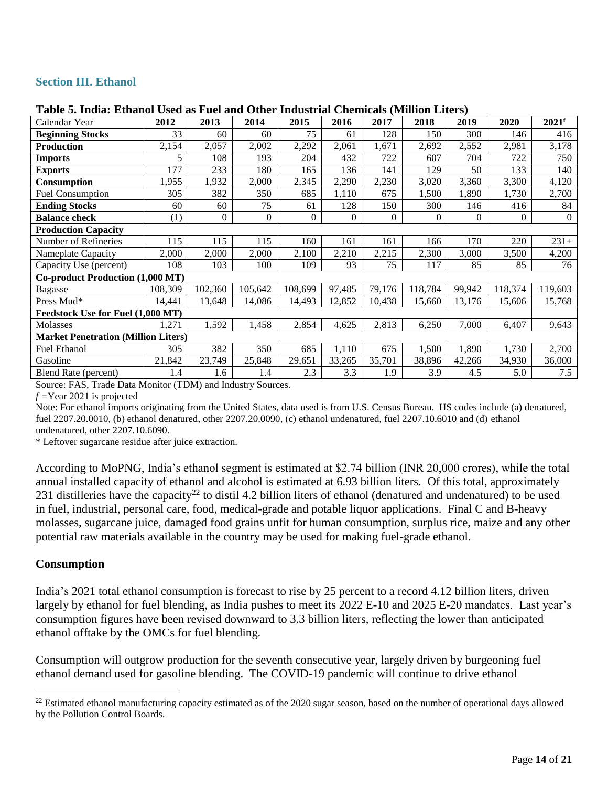# **Section III. Ethanol**

| Calendar Year                              | 2012    | 2013           | 2014         | 2015           | 2016           | 2017         | 2018    | 2019           | 2020           | $2021^r$ |
|--------------------------------------------|---------|----------------|--------------|----------------|----------------|--------------|---------|----------------|----------------|----------|
| <b>Beginning Stocks</b>                    | 33      | 60             | 60           | 75             | 61             | 128          | 150     | 300            | 146            | 416      |
| <b>Production</b>                          | 2,154   | 2,057          | 2,002        | 2,292          | 2,061          | 1,671        | 2,692   | 2,552          | 2,981          | 3,178    |
| <b>Imports</b>                             | 5       | 108            | 193          | 204            | 432            | 722          | 607     | 704            | 722            | 750      |
| <b>Exports</b>                             | 177     | 233            | 180          | 165            | 136            | 141          | 129     | 50             | 133            | 140      |
| <b>Consumption</b>                         | ,955    | .932           | 2,000        | 2,345          | 2,290          | 2,230        | 3,020   | 3,360          | 3,300          | 4,120    |
| Fuel Consumption                           | 305     | 382            | 350          | 685            | 1,110          | 675          | 1,500   | 1,890          | 1,730          | 2,700    |
| <b>Ending Stocks</b>                       | 60      | 60             | 75           | 61             | 128            | 150          | 300     | 146            | 416            | 84       |
| <b>Balance check</b>                       | (1)     | $\overline{0}$ | $\mathbf{0}$ | $\overline{0}$ | $\overline{0}$ | $\mathbf{0}$ | 0       | $\overline{0}$ | $\overline{0}$ | $\theta$ |
| <b>Production Capacity</b>                 |         |                |              |                |                |              |         |                |                |          |
| Number of Refineries                       | 115     | 115            | 115          | 160            | 161            | 161          | 166     | 170            | 220            | $231+$   |
| Nameplate Capacity                         | 2,000   | 2,000          | 2,000        | 2,100          | 2,210          | 2,215        | 2,300   | 3,000          | 3,500          | 4,200    |
| Capacity Use (percent)                     | 108     | 103            | 100          | 109            | 93             | 75           | 117     | 85             | 85             | 76       |
| Co-product Production (1,000 MT)           |         |                |              |                |                |              |         |                |                |          |
| <b>Bagasse</b>                             | 108,309 | 102,360        | 105,642      | 108,699        | 97,485         | 79,176       | 118,784 | 99,942         | 118,374        | 119,603  |
| Press Mud*                                 | 14,441  | 13,648         | 14,086       | 14,493         | 12,852         | 10,438       | 15,660  | 13,176         | 15,606         | 15,768   |
| Feedstock Use for Fuel (1,000 MT)          |         |                |              |                |                |              |         |                |                |          |
| Molasses                                   | 1,271   | 1,592          | 1,458        | 2,854          | 4,625          | 2,813        | 6,250   | 7,000          | 6,407          | 9,643    |
| <b>Market Penetration (Million Liters)</b> |         |                |              |                |                |              |         |                |                |          |
| Fuel Ethanol                               | 305     | 382            | 350          | 685            | 1,110          | 675          | 1,500   | 1,890          | 1,730          | 2,700    |
| Gasoline                                   | 21,842  | 23,749         | 25,848       | 29,651         | 33,265         | 35,701       | 38,896  | 42,266         | 34,930         | 36,000   |
| Blend Rate (percent)                       | 1.4     | 1.6            | 1.4          | 2.3            | 3.3            | 1.9          | 3.9     | 4.5            | 5.0            | 7.5      |

#### **Table 5. India: Ethanol Used as Fuel and Other Industrial Chemicals (Million Liters)**

Source: FAS, Trade Data Monitor (TDM) and Industry Sources.

*f =*Year 2021 is projected

Note: For ethanol imports originating from the United States, data used is from U.S. Census Bureau. HS codes include (a) denatured, fuel 2207.20.0010, (b) ethanol denatured, other 2207.20.0090, (c) ethanol undenatured, fuel 2207.10.6010 and (d) ethanol undenatured, other 2207.10.6090.

\* Leftover sugarcane residue after juice extraction.

According to MoPNG, India's ethanol segment is estimated at \$2.74 billion (INR 20,000 crores), while the total annual installed capacity of ethanol and alcohol is estimated at 6.93 billion liters. Of this total, approximately 231 distilleries have the capacity<sup>22</sup> to distil 4.2 billion liters of ethanol (denatured and undenatured) to be used in fuel, industrial, personal care, food, medical-grade and potable liquor applications. Final C and B-heavy molasses, sugarcane juice, damaged food grains unfit for human consumption, surplus rice, maize and any other potential raw materials available in the country may be used for making fuel-grade ethanol.

#### **Consumption**

l

India's 2021 total ethanol consumption is forecast to rise by 25 percent to a record 4.12 billion liters, driven largely by ethanol for fuel blending, as India pushes to meet its 2022 E-10 and 2025 E-20 mandates. Last year's consumption figures have been revised downward to 3.3 billion liters, reflecting the lower than anticipated ethanol offtake by the OMCs for fuel blending.

Consumption will outgrow production for the seventh consecutive year, largely driven by burgeoning fuel ethanol demand used for gasoline blending. The COVID-19 pandemic will continue to drive ethanol

<sup>&</sup>lt;sup>22</sup> Estimated ethanol manufacturing capacity estimated as of the 2020 sugar season, based on the number of operational days allowed by the Pollution Control Boards.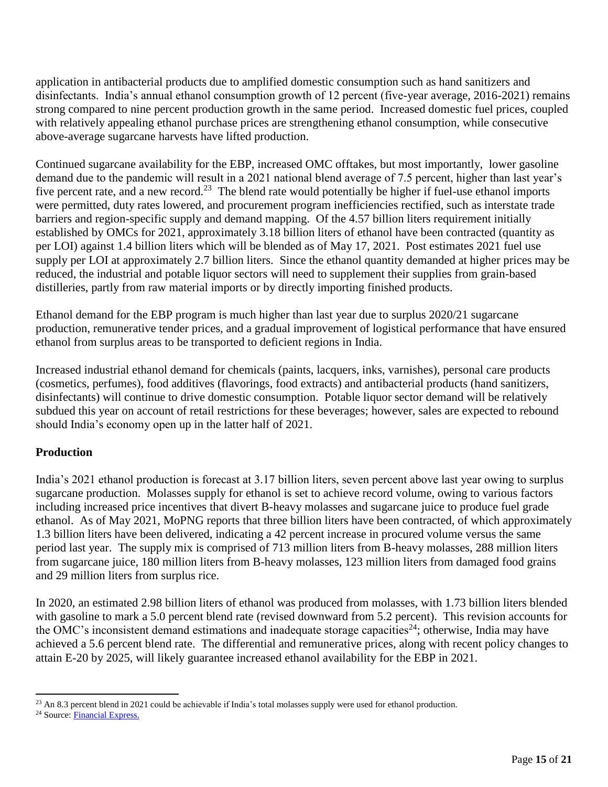application in antibacterial products due to amplified domestic consumption such as hand sanitizers and disinfectants. India's annual ethanol consumption growth of 12 percent (five-year average, 2016-2021) remains strong compared to nine percent production growth in the same period. Increased domestic fuel prices, coupled with relatively appealing ethanol purchase prices are strengthening ethanol consumption, while consecutive above-average sugarcane harvests have lifted production.

Continued sugarcane availability for the EBP, increased OMC offtakes, but most importantly, lower gasoline demand due to the pandemic will result in a 2021 national blend average of 7.5 percent, higher than last year's five percent rate, and a new record.<sup>23</sup> The blend rate would potentially be higher if fuel-use ethanol imports were permitted, duty rates lowered, and procurement program inefficiencies rectified, such as interstate trade barriers and region-specific supply and demand mapping. Of the 4.57 billion liters requirement initially established by OMCs for 2021, approximately 3.18 billion liters of ethanol have been contracted (quantity as per LOI) against 1.4 billion liters which will be blended as of May 17, 2021. Post estimates 2021 fuel use supply per LOI at approximately 2.7 billion liters. Since the ethanol quantity demanded at higher prices may be reduced, the industrial and potable liquor sectors will need to supplement their supplies from grain-based distilleries, partly from raw material imports or by directly importing finished products.

Ethanol demand for the EBP program is much higher than last year due to surplus 2020/21 sugarcane production, remunerative tender prices, and a gradual improvement of logistical performance that have ensured ethanol from surplus areas to be transported to deficient regions in India.

Increased industrial ethanol demand for chemicals (paints, lacquers, inks, varnishes), personal care products (cosmetics, perfumes), food additives (flavorings, food extracts) and antibacterial products (hand sanitizers, disinfectants) will continue to drive domestic consumption. Potable liquor sector demand will be relatively subdued this year on account of retail restrictions for these beverages; however, sales are expected to rebound should India's economy open up in the latter half of 2021.

# **Production**

India's 2021 ethanol production is forecast at 3.17 billion liters, seven percent above last year owing to surplus sugarcane production. Molasses supply for ethanol is set to achieve record volume, owing to various factors including increased price incentives that divert B-heavy molasses and sugarcane juice to produce fuel grade ethanol. As of May 2021, MoPNG reports that three billion liters have been contracted, of which approximately 1.3 billion liters have been delivered, indicating a 42 percent increase in procured volume versus the same period last year. The supply mix is comprised of 713 million liters from B-heavy molasses, 288 million liters from sugarcane juice, 180 million liters from B-heavy molasses, 123 million liters from damaged food grains and 29 million liters from surplus rice.

In 2020, an estimated 2.98 billion liters of ethanol was produced from molasses, with 1.73 billion liters blended with gasoline to mark a 5.0 percent blend rate (revised downward from 5.2 percent). This revision accounts for the OMC's inconsistent demand estimations and inadequate storage capacities<sup>24</sup>; otherwise, India may have achieved a 5.6 percent blend rate. The differential and remunerative prices, along with recent policy changes to attain E-20 by 2025, will likely guarantee increased ethanol availability for the EBP in 2021.

l <sup>23</sup> An 8.3 percent blend in 2021 could be achievable if India's total molasses supply were used for ethanol production.

<sup>&</sup>lt;sup>24</sup> Source: [Financial Express.](https://www.financialexpress.com/industry/oil-marketing-companies-fail-on-ethanol-lifting-commitments-blending-programme-targets-likely-to-fall-short/2195972/)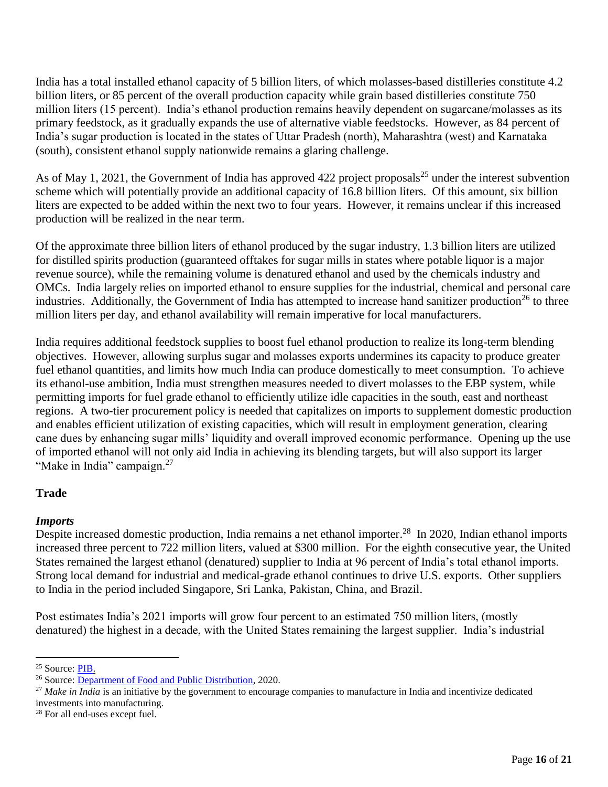India has a total installed ethanol capacity of 5 billion liters, of which molasses-based distilleries constitute 4.2 billion liters, or 85 percent of the overall production capacity while grain based distilleries constitute 750 million liters (15 percent). India's ethanol production remains heavily dependent on sugarcane/molasses as its primary feedstock, as it gradually expands the use of alternative viable feedstocks. However, as 84 percent of India's sugar production is located in the states of Uttar Pradesh (north), Maharashtra (west) and Karnataka (south), consistent ethanol supply nationwide remains a glaring challenge.

As of May 1, 2021, the Government of India has approved 422 project proposals<sup>25</sup> under the interest subvention scheme which will potentially provide an additional capacity of 16.8 billion liters. Of this amount, six billion liters are expected to be added within the next two to four years. However, it remains unclear if this increased production will be realized in the near term.

Of the approximate three billion liters of ethanol produced by the sugar industry, 1.3 billion liters are utilized for distilled spirits production (guaranteed offtakes for sugar mills in states where potable liquor is a major revenue source), while the remaining volume is denatured ethanol and used by the chemicals industry and OMCs. India largely relies on imported ethanol to ensure supplies for the industrial, chemical and personal care industries. Additionally, the Government of India has attempted to increase hand sanitizer production<sup>26</sup> to three million liters per day, and ethanol availability will remain imperative for local manufacturers.

India requires additional feedstock supplies to boost fuel ethanol production to realize its long-term blending objectives. However, allowing surplus sugar and molasses exports undermines its capacity to produce greater fuel ethanol quantities, and limits how much India can produce domestically to meet consumption. To achieve its ethanol-use ambition, India must strengthen measures needed to divert molasses to the EBP system, while permitting imports for fuel grade ethanol to efficiently utilize idle capacities in the south, east and northeast regions. A two-tier procurement policy is needed that capitalizes on imports to supplement domestic production and enables efficient utilization of existing capacities, which will result in employment generation, clearing cane dues by enhancing sugar mills' liquidity and overall improved economic performance. Opening up the use of imported ethanol will not only aid India in achieving its blending targets, but will also support its larger "Make in India" campaign.<sup>27</sup>

# **Trade**

# *Imports*

Despite increased domestic production, India remains a net ethanol importer.<sup>28</sup> In 2020, Indian ethanol imports increased three percent to 722 million liters, valued at \$300 million. For the eighth consecutive year, the United States remained the largest ethanol (denatured) supplier to India at 96 percent of India's total ethanol imports. Strong local demand for industrial and medical-grade ethanol continues to drive U.S. exports. Other suppliers to India in the period included Singapore, Sri Lanka, Pakistan, China, and Brazil.

Post estimates India's 2021 imports will grow four percent to an estimated 750 million liters, (mostly denatured) the highest in a decade, with the United States remaining the largest supplier. India's industrial

<sup>28</sup> For all end-uses except fuel.

 $\overline{a}$ <sup>25</sup> Source: [PIB.](https://pib.gov.in/PressReleasePage.aspx?PRID=1715425)

<sup>26</sup> Source: [Department of Food and Public Distribution,](https://storage.googleapis.com/stateless-chinimandi-com/2021/01/ad21d9d6-hand-sanitizer.pdf) 2020.

<sup>&</sup>lt;sup>27</sup> Make in India is an initiative by the government to encourage companies to manufacture in India and incentivize dedicated investments into manufacturing.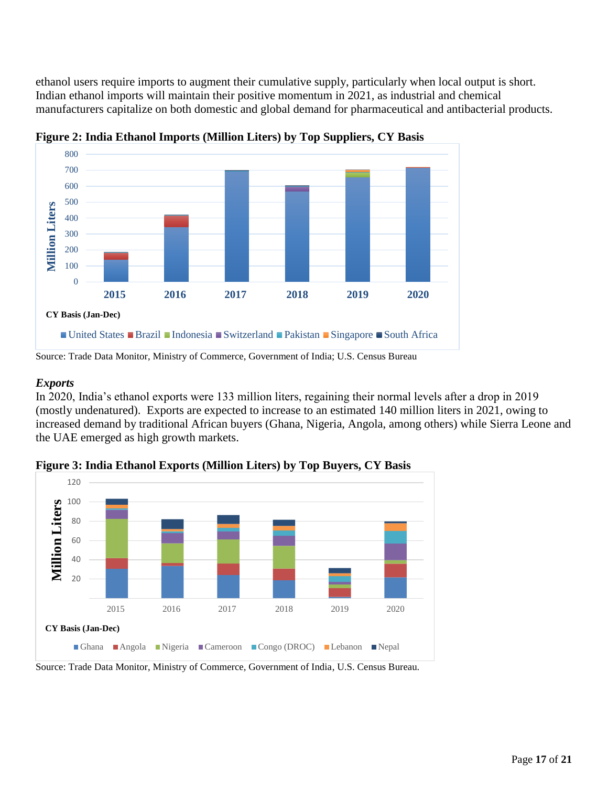ethanol users require imports to augment their cumulative supply, particularly when local output is short. Indian ethanol imports will maintain their positive momentum in 2021, as industrial and chemical manufacturers capitalize on both domestic and global demand for pharmaceutical and antibacterial products.



**Figure 2: India Ethanol Imports (Million Liters) by Top Suppliers, CY Basis**

# *Exports*

In 2020, India's ethanol exports were 133 million liters, regaining their normal levels after a drop in 2019 (mostly undenatured). Exports are expected to increase to an estimated 140 million liters in 2021, owing to increased demand by traditional African buyers (Ghana, Nigeria, Angola, among others) while Sierra Leone and the UAE emerged as high growth markets.



**Figure 3: India Ethanol Exports (Million Liters) by Top Buyers, CY Basis**

Source: Trade Data Monitor, Ministry of Commerce, Government of India, U.S. Census Bureau.

Source: Trade Data Monitor, Ministry of Commerce, Government of India; U.S. Census Bureau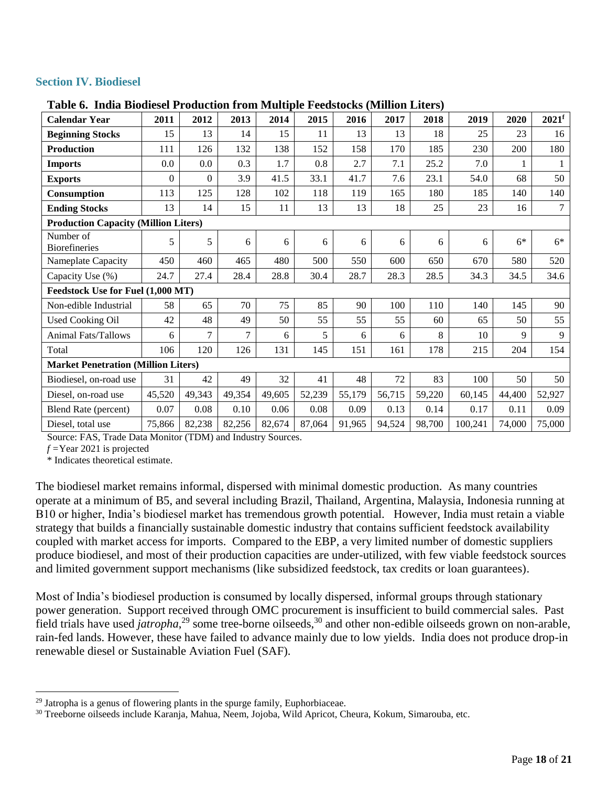# **Section IV. Biodiesel**

| <b>Calendar Year</b>                        | 2011           | 2012           | 2013   | 2014   | 2015   | 2016   | 2017   | 2018   | 2019    | 2020   | 2021 <sup>f</sup> |
|---------------------------------------------|----------------|----------------|--------|--------|--------|--------|--------|--------|---------|--------|-------------------|
| <b>Beginning Stocks</b>                     | 15             | 13             | 14     | 15     | 11     | 13     | 13     | 18     | 25      | 23     | 16                |
| <b>Production</b>                           | 111            | 126            | 132    | 138    | 152    | 158    | 170    | 185    | 230     | 200    | 180               |
| <b>Imports</b>                              | 0.0            | 0.0            | 0.3    | 1.7    | 0.8    | 2.7    | 7.1    | 25.2   | 7.0     |        |                   |
| <b>Exports</b>                              | $\overline{0}$ | $\theta$       | 3.9    | 41.5   | 33.1   | 41.7   | 7.6    | 23.1   | 54.0    | 68     | 50                |
| Consumption                                 | 113            | 125            | 128    | 102    | 118    | 119    | 165    | 180    | 185     | 140    | 140               |
| <b>Ending Stocks</b>                        | 13             | 14             | 15     | 11     | 13     | 13     | 18     | 25     | 23      | 16     | 7                 |
| <b>Production Capacity (Million Liters)</b> |                |                |        |        |        |        |        |        |         |        |                   |
| Number of<br><b>Biorefineries</b>           | 5              | 5              | 6      | 6      | 6      | 6      | 6      | 6      | 6       | $6*$   | $6*$              |
| Nameplate Capacity                          | 450            | 460            | 465    | 480    | 500    | 550    | 600    | 650    | 670     | 580    | 520               |
| Capacity Use (%)                            | 24.7           | 27.4           | 28.4   | 28.8   | 30.4   | 28.7   | 28.3   | 28.5   | 34.3    | 34.5   | 34.6              |
| Feedstock Use for Fuel (1,000 MT)           |                |                |        |        |        |        |        |        |         |        |                   |
| Non-edible Industrial                       | 58             | 65             | 70     | 75     | 85     | 90     | 100    | 110    | 140     | 145    | 90                |
| <b>Used Cooking Oil</b>                     | 42             | 48             | 49     | 50     | 55     | 55     | 55     | 60     | 65      | 50     | 55                |
| <b>Animal Fats/Tallows</b>                  | 6              | $\overline{7}$ | 7      | 6      | 5      | 6      | 6      | 8      | 10      | 9      | 9                 |
| Total                                       | 106            | 120            | 126    | 131    | 145    | 151    | 161    | 178    | 215     | 204    | 154               |
| <b>Market Penetration (Million Liters)</b>  |                |                |        |        |        |        |        |        |         |        |                   |
| Biodiesel, on-road use                      | 31             | 42             | 49     | 32     | 41     | 48     | 72     | 83     | 100     | 50     | 50                |
| Diesel, on-road use                         | 45,520         | 49,343         | 49,354 | 49,605 | 52,239 | 55,179 | 56,715 | 59,220 | 60,145  | 44,400 | 52,927            |
| <b>Blend Rate (percent)</b>                 | 0.07           | 0.08           | 0.10   | 0.06   | 0.08   | 0.09   | 0.13   | 0.14   | 0.17    | 0.11   | 0.09              |
| Diesel, total use                           | 75,866         | 82,238         | 82,256 | 82,674 | 87,064 | 91,965 | 94,524 | 98,700 | 100,241 | 74,000 | 75,000            |

#### **Table 6. India Biodiesel Production from Multiple Feedstocks (Million Liters)**

Source: FAS, Trade Data Monitor (TDM) and Industry Sources.

*f =*Year 2021 is projected

l

\* Indicates theoretical estimate.

The biodiesel market remains informal, dispersed with minimal domestic production. As many countries operate at a minimum of B5, and several including Brazil, Thailand, Argentina, Malaysia, Indonesia running at B10 or higher, India's biodiesel market has tremendous growth potential. However, India must retain a viable strategy that builds a financially sustainable domestic industry that contains sufficient feedstock availability coupled with market access for imports. Compared to the EBP, a very limited number of domestic suppliers produce biodiesel, and most of their production capacities are under-utilized, with few viable feedstock sources and limited government support mechanisms (like subsidized feedstock, tax credits or loan guarantees).

Most of India's biodiesel production is consumed by locally dispersed, informal groups through stationary power generation. Support received through OMC procurement is insufficient to build commercial sales. Past field trials have used *jatropha*, <sup>29</sup> some tree-borne oilseeds, <sup>30</sup> and other non-edible oilseeds grown on non-arable, rain-fed lands. However, these have failed to advance mainly due to low yields. India does not produce drop-in renewable diesel or Sustainable Aviation Fuel (SAF).

 $29$  Jatropha is a genus of flowering plants in the spurge family, Euphorbiaceae.

<sup>&</sup>lt;sup>30</sup> Treeborne oilseeds include Karanja, Mahua, Neem, Jojoba, Wild Apricot, Cheura, Kokum, Simarouba, etc.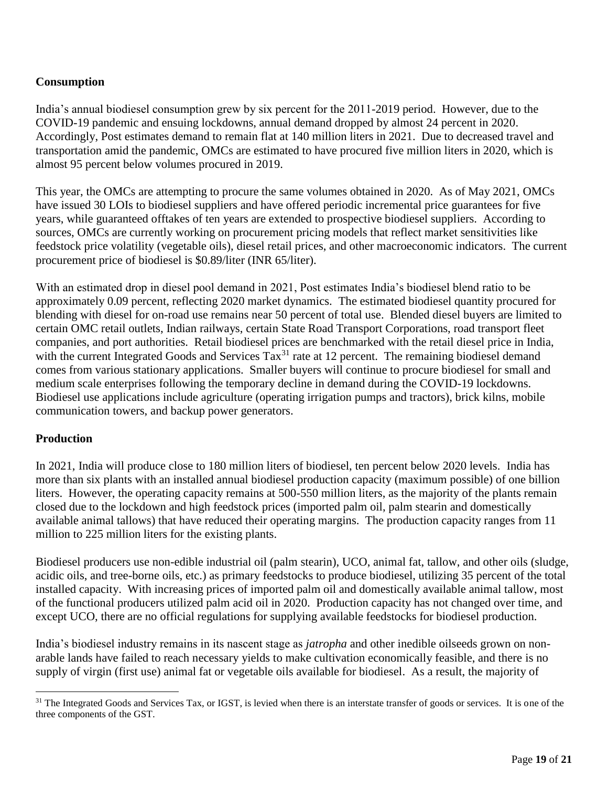# **Consumption**

India's annual biodiesel consumption grew by six percent for the 2011-2019 period. However, due to the COVID-19 pandemic and ensuing lockdowns, annual demand dropped by almost 24 percent in 2020. Accordingly, Post estimates demand to remain flat at 140 million liters in 2021. Due to decreased travel and transportation amid the pandemic, OMCs are estimated to have procured five million liters in 2020, which is almost 95 percent below volumes procured in 2019.

This year, the OMCs are attempting to procure the same volumes obtained in 2020. As of May 2021, OMCs have issued 30 LOIs to biodiesel suppliers and have offered periodic incremental price guarantees for five years, while guaranteed offtakes of ten years are extended to prospective biodiesel suppliers. According to sources, OMCs are currently working on procurement pricing models that reflect market sensitivities like feedstock price volatility (vegetable oils), diesel retail prices, and other macroeconomic indicators. The current procurement price of biodiesel is \$0.89/liter (INR 65/liter).

With an estimated drop in diesel pool demand in 2021, Post estimates India's biodiesel blend ratio to be approximately 0.09 percent, reflecting 2020 market dynamics. The estimated biodiesel quantity procured for blending with diesel for on-road use remains near 50 percent of total use. Blended diesel buyers are limited to certain OMC retail outlets, Indian railways, certain State Road Transport Corporations, road transport fleet companies, and port authorities. Retail biodiesel prices are benchmarked with the retail diesel price in India, with the current Integrated Goods and Services Tax<sup>31</sup> rate at 12 percent. The remaining biodiesel demand comes from various stationary applications. Smaller buyers will continue to procure biodiesel for small and medium scale enterprises following the temporary decline in demand during the COVID-19 lockdowns. Biodiesel use applications include agriculture (operating irrigation pumps and tractors), brick kilns, mobile communication towers, and backup power generators.

# **Production**

l

In 2021, India will produce close to 180 million liters of biodiesel, ten percent below 2020 levels. India has more than six plants with an installed annual biodiesel production capacity (maximum possible) of one billion liters. However, the operating capacity remains at 500-550 million liters, as the majority of the plants remain closed due to the lockdown and high feedstock prices (imported palm oil, palm stearin and domestically available animal tallows) that have reduced their operating margins. The production capacity ranges from 11 million to 225 million liters for the existing plants.

Biodiesel producers use non-edible industrial oil (palm stearin), UCO, animal fat, tallow, and other oils (sludge, acidic oils, and tree-borne oils, etc.) as primary feedstocks to produce biodiesel, utilizing 35 percent of the total installed capacity. With increasing prices of imported palm oil and domestically available animal tallow, most of the functional producers utilized palm acid oil in 2020. Production capacity has not changed over time, and except UCO, there are no official regulations for supplying available feedstocks for biodiesel production.

India's biodiesel industry remains in its nascent stage as *jatropha* and other inedible oilseeds grown on nonarable lands have failed to reach necessary yields to make cultivation economically feasible, and there is no supply of virgin (first use) animal fat or vegetable oils available for biodiesel. As a result, the majority of

<sup>&</sup>lt;sup>31</sup> The Integrated Goods and Services Tax, or IGST, is levied when there is an interstate transfer of goods or services. It is one of the three components of the GST.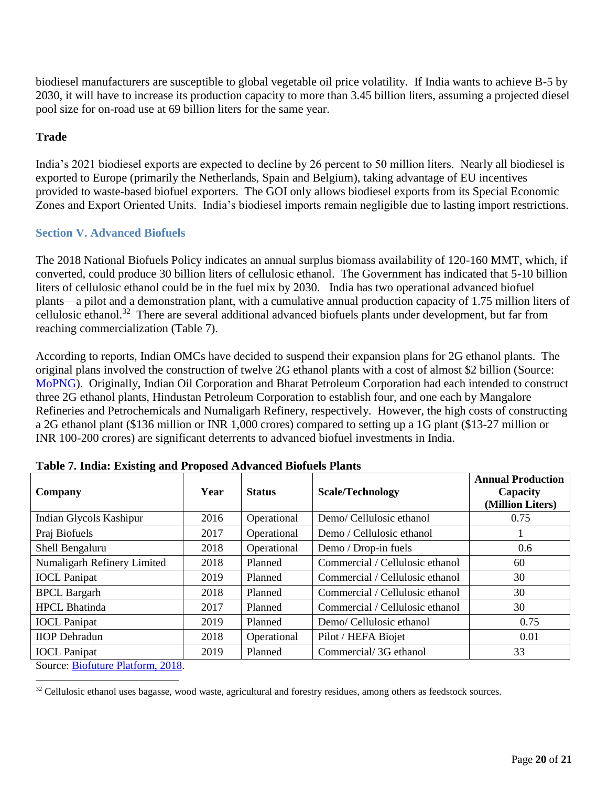biodiesel manufacturers are susceptible to global vegetable oil price volatility. If India wants to achieve B-5 by 2030, it will have to increase its production capacity to more than 3.45 billion liters, assuming a projected diesel pool size for on-road use at 69 billion liters for the same year.

# **Trade**

India's 2021 biodiesel exports are expected to decline by 26 percent to 50 million liters. Nearly all biodiesel is exported to Europe (primarily the Netherlands, Spain and Belgium), taking advantage of EU incentives provided to waste-based biofuel exporters. The GOI only allows biodiesel exports from its Special Economic Zones and Export Oriented Units. India's biodiesel imports remain negligible due to lasting import restrictions.

# **Section V. Advanced Biofuels**

The 2018 National Biofuels Policy indicates an annual surplus biomass availability of 120-160 MMT, which, if converted, could produce 30 billion liters of cellulosic ethanol. The Government has indicated that 5-10 billion liters of cellulosic ethanol could be in the fuel mix by 2030. India has two operational advanced biofuel plants—a pilot and a demonstration plant, with a cumulative annual production capacity of 1.75 million liters of cellulosic ethanol.<sup>32</sup> There are several additional advanced biofuels plants under development, but far from reaching commercialization (Table 7).

According to reports, Indian OMCs have decided to suspend their expansion plans for 2G ethanol plants. The original plans involved the construction of twelve 2G ethanol plants with a cost of almost \$2 billion (Source: [MoPNG\)](https://mopng.gov.in/en/pdc/investible-projects/alternate-fuels/2g-ethanol-projects). Originally, Indian Oil Corporation and Bharat Petroleum Corporation had each intended to construct three 2G ethanol plants, Hindustan Petroleum Corporation to establish four, and one each by Mangalore Refineries and Petrochemicals and Numaligarh Refinery, respectively. However, the high costs of constructing a 2G ethanol plant (\$136 million or INR 1,000 crores) compared to setting up a 1G plant (\$13-27 million or INR 100-200 crores) are significant deterrents to advanced biofuel investments in India.

| Company                     | Year | <b>Status</b> | <b>Scale/Technology</b>         | <b>Annual Production</b><br>Capacity<br>(Million Liters) |
|-----------------------------|------|---------------|---------------------------------|----------------------------------------------------------|
| Indian Glycols Kashipur     | 2016 | Operational   | Demo/ Cellulosic ethanol        | 0.75                                                     |
| Praj Biofuels               | 2017 | Operational   | Demo / Cellulosic ethanol       |                                                          |
| Shell Bengaluru             | 2018 | Operational   | Demo / Drop-in fuels            | 0.6                                                      |
| Numaligarh Refinery Limited | 2018 | Planned       | Commercial / Cellulosic ethanol | 60                                                       |
| <b>IOCL</b> Panipat         | 2019 | Planned       | Commercial / Cellulosic ethanol | 30                                                       |
| <b>BPCL Bargarh</b>         | 2018 | Planned       | Commercial / Cellulosic ethanol | 30                                                       |
| <b>HPCL Bhatinda</b>        | 2017 | Planned       | Commercial / Cellulosic ethanol | 30                                                       |
| <b>IOCL</b> Panipat         | 2019 | Planned       | Demo/ Cellulosic ethanol        | 0.75                                                     |
| <b>IIOP</b> Dehradun        | 2018 | Operational   | Pilot / HEFA Biojet             | 0.01                                                     |
| <b>IOCL</b> Panipat         | 2019 | Planned       | Commercial/3G ethanol           | 33                                                       |

**Table 7. India: Existing and Proposed Advanced Biofuels Plants**

Source: Biofuture [Platform, 2018.](https://www.iea.org/areas-of-work/international-collaborations/biofuture-platform)  $\overline{\phantom{a}}$ 

<sup>&</sup>lt;sup>32</sup> Cellulosic ethanol uses bagasse, wood waste, agricultural and forestry residues, among others as feedstock sources.